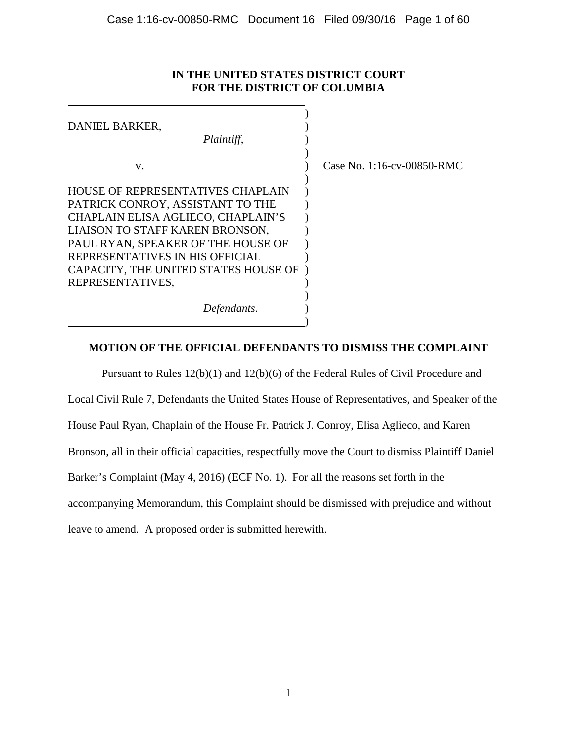## **IN THE UNITED STATES DISTRICT COURT FOR THE DISTRICT OF COLUMBIA**

| DANIEL BARKER,                       |                               |
|--------------------------------------|-------------------------------|
| Plaintiff,                           |                               |
|                                      |                               |
| V.                                   | Case No. $1:16$ -cv-00850-RMC |
|                                      |                               |
| HOUSE OF REPRESENTATIVES CHAPLAIN    |                               |
| PATRICK CONROY, ASSISTANT TO THE     |                               |
| CHAPLAIN ELISA AGLIECO, CHAPLAIN'S   |                               |
| LIAISON TO STAFF KAREN BRONSON,      |                               |
| PAUL RYAN, SPEAKER OF THE HOUSE OF   |                               |
| REPRESENTATIVES IN HIS OFFICIAL      |                               |
| CAPACITY, THE UNITED STATES HOUSE OF |                               |
| REPRESENTATIVES,                     |                               |
|                                      |                               |
| Defendants.                          |                               |
|                                      |                               |

 $\overline{a}$ 

## **MOTION OF THE OFFICIAL DEFENDANTS TO DISMISS THE COMPLAINT**

Pursuant to Rules 12(b)(1) and 12(b)(6) of the Federal Rules of Civil Procedure and Local Civil Rule 7, Defendants the United States House of Representatives, and Speaker of the House Paul Ryan, Chaplain of the House Fr. Patrick J. Conroy, Elisa Aglieco, and Karen Bronson, all in their official capacities, respectfully move the Court to dismiss Plaintiff Daniel Barker's Complaint (May 4, 2016) (ECF No. 1). For all the reasons set forth in the accompanying Memorandum, this Complaint should be dismissed with prejudice and without leave to amend. A proposed order is submitted herewith.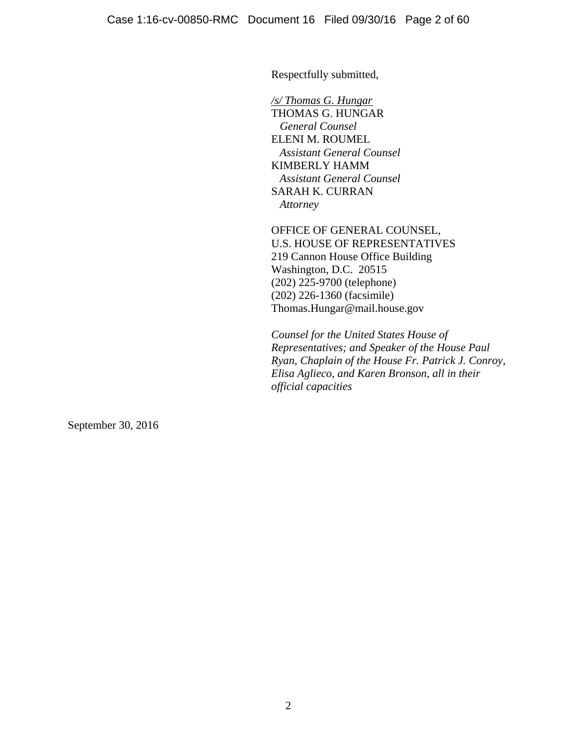Respectfully submitted,

*/s/ Thomas G. Hungar* THOMAS G. HUNGAR  *General Counsel*  ELENI M. ROUMEL  *Assistant General Counsel*  KIMBERLY HAMM  *Assistant General Counsel*  SARAH K. CURRAN  *Attorney* 

OFFICE OF GENERAL COUNSEL, U.S. HOUSE OF REPRESENTATIVES 219 Cannon House Office Building Washington, D.C. 20515 (202) 225-9700 (telephone) (202) 226-1360 (facsimile) Thomas.Hungar@mail.house.gov

*Counsel for the United States House of Representatives; and Speaker of the House Paul Ryan, Chaplain of the House Fr. Patrick J. Conroy, Elisa Aglieco, and Karen Bronson, all in their official capacities* 

September 30, 2016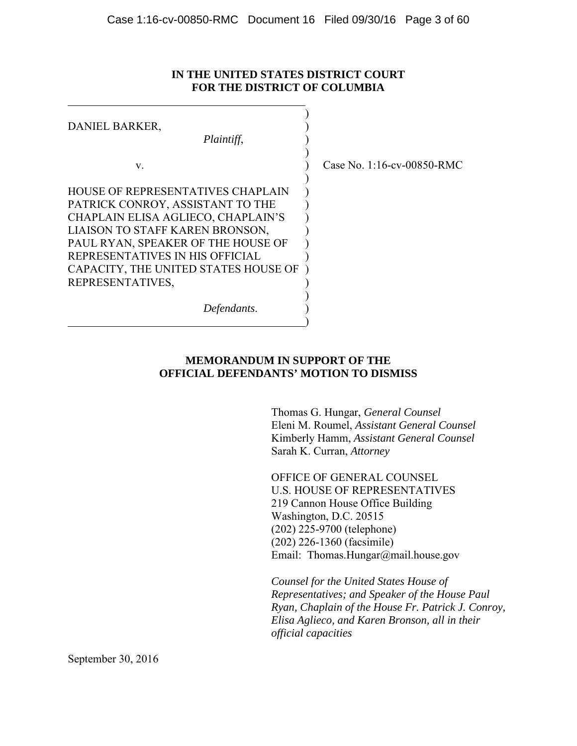## **IN THE UNITED STATES DISTRICT COURT FOR THE DISTRICT OF COLUMBIA**

| DANIEL BARKER,<br>Plaintiff,                                                                                                                                                                                                                                    |                            |
|-----------------------------------------------------------------------------------------------------------------------------------------------------------------------------------------------------------------------------------------------------------------|----------------------------|
| V.                                                                                                                                                                                                                                                              | Case No. 1:16-cv-00850-RMC |
| HOUSE OF REPRESENTATIVES CHAPLAIN<br>PATRICK CONROY, ASSISTANT TO THE<br>CHAPLAIN ELISA AGLIECO, CHAPLAIN'S<br>LIAISON TO STAFF KAREN BRONSON,<br>PAUL RYAN, SPEAKER OF THE HOUSE OF<br>REPRESENTATIVES IN HIS OFFICIAL<br>CAPACITY, THE UNITED STATES HOUSE OF |                            |
| REPRESENTATIVES,                                                                                                                                                                                                                                                |                            |
| Defendants.                                                                                                                                                                                                                                                     |                            |

## **MEMORANDUM IN SUPPORT OF THE OFFICIAL DEFENDANTS' MOTION TO DISMISS**

Thomas G. Hungar, *General Counsel* Eleni M. Roumel, *Assistant General Counsel* Kimberly Hamm, *Assistant General Counsel* Sarah K. Curran, *Attorney*

OFFICE OF GENERAL COUNSEL U.S. HOUSE OF REPRESENTATIVES 219 Cannon House Office Building Washington, D.C. 20515 (202) 225-9700 (telephone) (202) 226-1360 (facsimile) Email: Thomas.Hungar@mail.house.gov

*Counsel for the United States House of Representatives; and Speaker of the House Paul Ryan, Chaplain of the House Fr. Patrick J. Conroy, Elisa Aglieco, and Karen Bronson, all in their official capacities*

September 30, 2016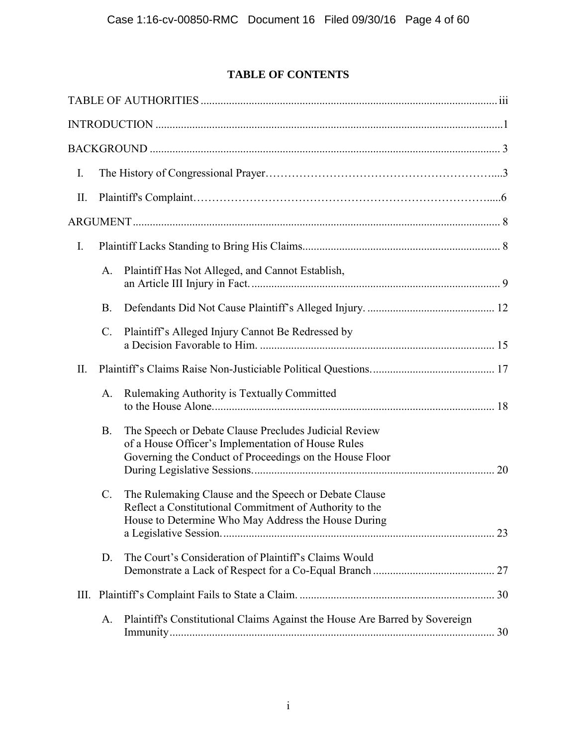# **TABLE OF CONTENTS**

| I.  |                 |                                                                                                                                                                         |  |
|-----|-----------------|-------------------------------------------------------------------------------------------------------------------------------------------------------------------------|--|
| II. |                 |                                                                                                                                                                         |  |
|     |                 |                                                                                                                                                                         |  |
| I.  |                 |                                                                                                                                                                         |  |
|     | A.              | Plaintiff Has Not Alleged, and Cannot Establish,                                                                                                                        |  |
|     | <b>B.</b>       |                                                                                                                                                                         |  |
|     | $\mathcal{C}$ . | Plaintiff's Alleged Injury Cannot Be Redressed by                                                                                                                       |  |
| II. |                 |                                                                                                                                                                         |  |
|     | A.              | Rulemaking Authority is Textually Committed                                                                                                                             |  |
|     | <b>B.</b>       | The Speech or Debate Clause Precludes Judicial Review<br>of a House Officer's Implementation of House Rules<br>Governing the Conduct of Proceedings on the House Floor  |  |
|     | $\mathcal{C}$ . | The Rulemaking Clause and the Speech or Debate Clause<br>Reflect a Constitutional Commitment of Authority to the<br>House to Determine Who May Address the House During |  |
|     | D.              | The Court's Consideration of Plaintiff's Claims Would                                                                                                                   |  |
|     |                 |                                                                                                                                                                         |  |
|     | A.              | Plaintiff's Constitutional Claims Against the House Are Barred by Sovereign                                                                                             |  |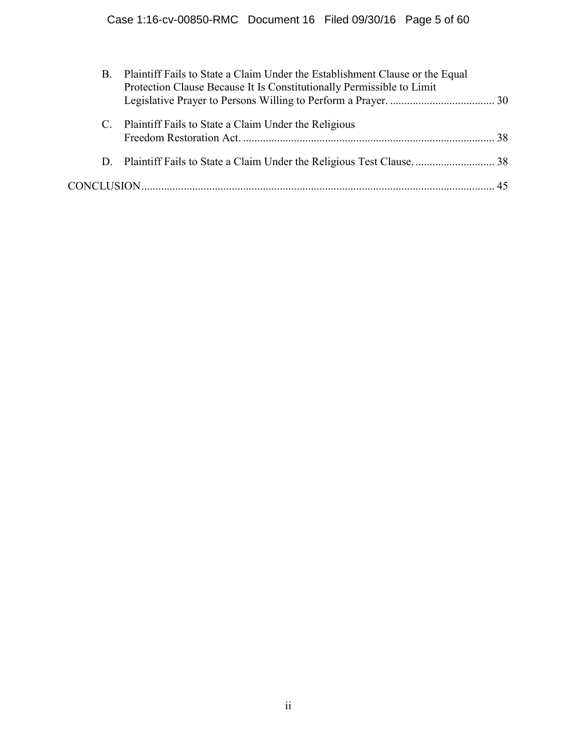| B. | Plaintiff Fails to State a Claim Under the Establishment Clause or the Equal<br>Protection Clause Because It Is Constitutionally Permissible to Limit |  |
|----|-------------------------------------------------------------------------------------------------------------------------------------------------------|--|
|    | C. Plaintiff Fails to State a Claim Under the Religious                                                                                               |  |
|    |                                                                                                                                                       |  |
|    |                                                                                                                                                       |  |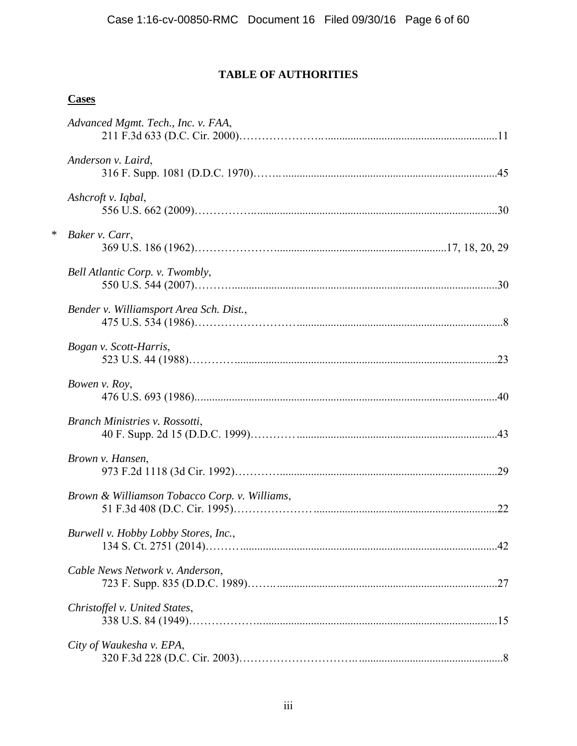# **TABLE OF AUTHORITIES**

## **Cases**

|        | Advanced Mgmt. Tech., Inc. v. FAA,            |  |
|--------|-----------------------------------------------|--|
|        | Anderson v. Laird,                            |  |
|        | Ashcroft v. Iqbal,                            |  |
| $\ast$ | Baker v. Carr,                                |  |
|        | Bell Atlantic Corp. v. Twombly,               |  |
|        | Bender v. Williamsport Area Sch. Dist.,       |  |
|        | Bogan v. Scott-Harris,                        |  |
|        | Bowen v. Roy,                                 |  |
|        | Branch Ministries v. Rossotti,                |  |
|        | Brown v. Hansen,                              |  |
|        | Brown & Williamson Tobacco Corp. v. Williams, |  |
|        | Burwell v. Hobby Lobby Stores, Inc.,          |  |
|        | Cable News Network v. Anderson,               |  |
|        | Christoffel v. United States,                 |  |
|        | City of Waukesha v. EPA,                      |  |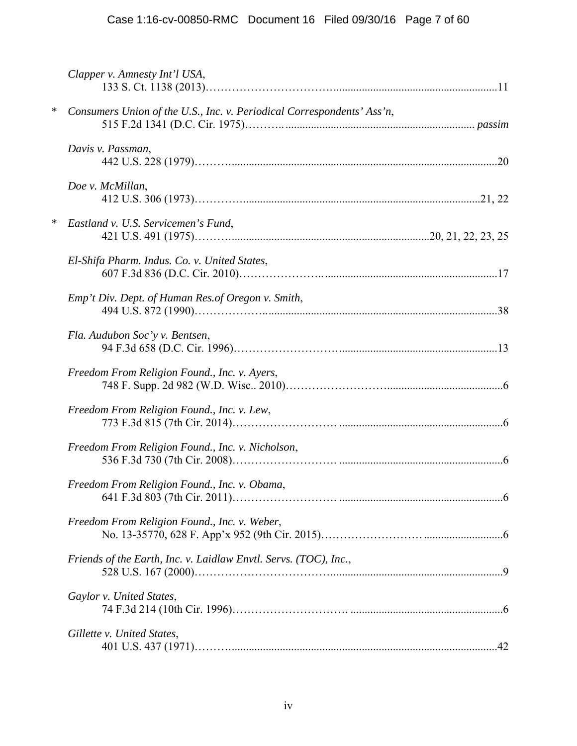|        | Clapper v. Amnesty Int'l USA,                                          |  |
|--------|------------------------------------------------------------------------|--|
| $\ast$ | Consumers Union of the U.S., Inc. v. Periodical Correspondents' Ass'n, |  |
|        | Davis v. Passman,                                                      |  |
|        | Doe v. McMillan,                                                       |  |
| $\ast$ | Eastland v. U.S. Servicemen's Fund,                                    |  |
|        | El-Shifa Pharm. Indus. Co. v. United States,                           |  |
|        | Emp't Div. Dept. of Human Res.of Oregon v. Smith,                      |  |
|        | Fla. Audubon Soc'y v. Bentsen,                                         |  |
|        | Freedom From Religion Found., Inc. v. Ayers,                           |  |
|        | Freedom From Religion Found., Inc. v. Lew,                             |  |
|        | Freedom From Religion Found., Inc. v. Nicholson,                       |  |
|        | Freedom From Religion Found., Inc. v. Obama,                           |  |
|        | Freedom From Religion Found., Inc. v. Weber,                           |  |
|        | Friends of the Earth, Inc. v. Laidlaw Envtl. Servs. (TOC), Inc.,       |  |
|        | Gaylor v. United States,                                               |  |
|        | Gillette v. United States,                                             |  |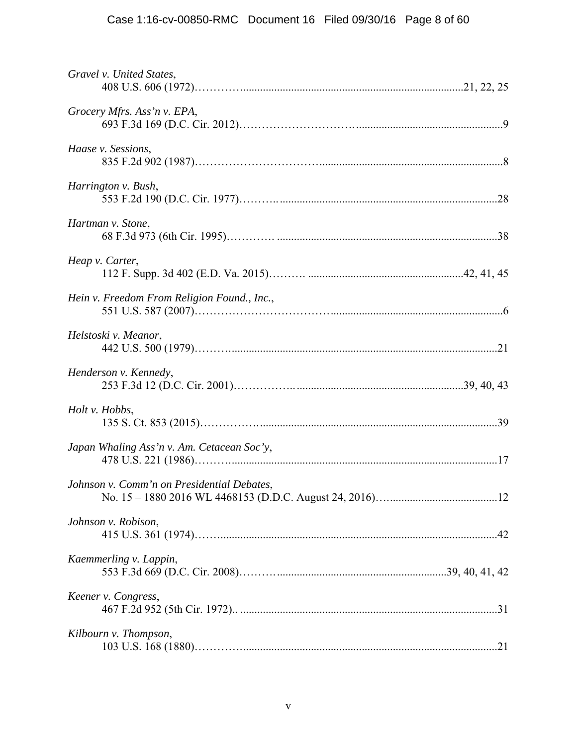| Gravel v. United States,                    |  |
|---------------------------------------------|--|
| Grocery Mfrs. Ass'n v. EPA,                 |  |
| Haase v. Sessions,                          |  |
| Harrington v. Bush,                         |  |
| Hartman v. Stone,                           |  |
| Heap v. Carter,                             |  |
| Hein v. Freedom From Religion Found., Inc., |  |
| Helstoski v. Meanor,                        |  |
| Henderson v. Kennedy,                       |  |
| Holt v. Hobbs,                              |  |
| Japan Whaling Ass'n v. Am. Cetacean Soc'y,  |  |
| Johnson v. Comm'n on Presidential Debates,  |  |
| Johnson v. Robison,                         |  |
| Kaemmerling v. Lappin,                      |  |
| Keener v. Congress,                         |  |
| Kilbourn v. Thompson,                       |  |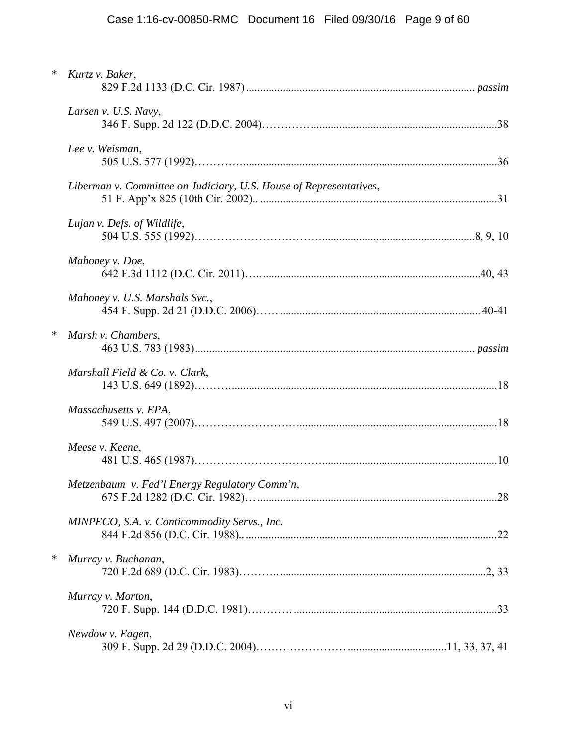| $\ast$ | Kurtz v. Baker,                                                    |  |
|--------|--------------------------------------------------------------------|--|
|        | Larsen v. U.S. Navy,                                               |  |
|        | Lee v. Weisman,                                                    |  |
|        | Liberman v. Committee on Judiciary, U.S. House of Representatives, |  |
|        | Lujan v. Defs. of Wildlife,                                        |  |
|        | Mahoney v. Doe,                                                    |  |
|        | Mahoney v. U.S. Marshals Svc.,                                     |  |
| $\ast$ | Marsh v. Chambers,                                                 |  |
|        | Marshall Field & Co. v. Clark,                                     |  |
|        | Massachusetts v. EPA,                                              |  |
|        | Meese v. Keene,                                                    |  |
|        | Metzenbaum v. Fed'l Energy Regulatory Comm'n,                      |  |
|        | MINPECO, S.A. v. Conticommodity Servs., Inc.                       |  |
| $\ast$ | Murray v. Buchanan,                                                |  |
|        | Murray v. Morton,                                                  |  |
|        | Newdow v. Eagen,                                                   |  |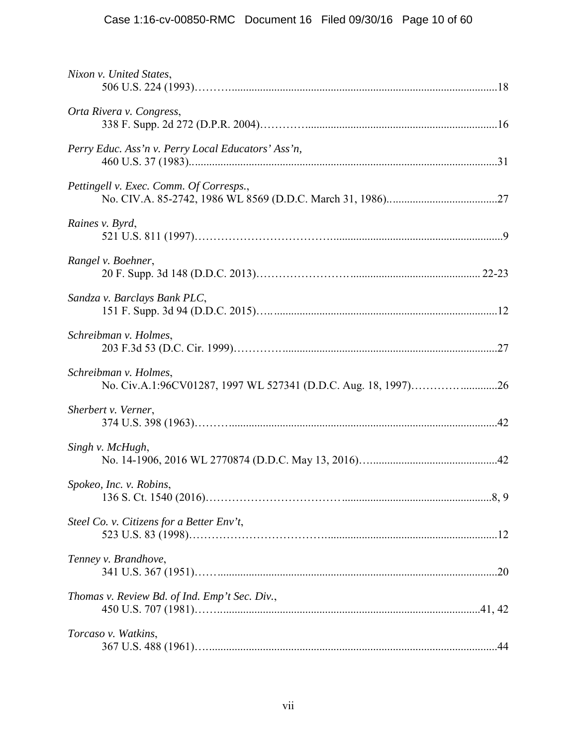| Nixon v. United States,                                                                 |  |
|-----------------------------------------------------------------------------------------|--|
| Orta Rivera v. Congress,                                                                |  |
| Perry Educ. Ass'n v. Perry Local Educators' Ass'n,                                      |  |
| Pettingell v. Exec. Comm. Of Corresps.,                                                 |  |
| Raines v. Byrd,                                                                         |  |
| Rangel v. Boehner,                                                                      |  |
| Sandza v. Barclays Bank PLC,                                                            |  |
| Schreibman v. Holmes,                                                                   |  |
| Schreibman v. Holmes,<br>No. Civ.A.1:96CV01287, 1997 WL 527341 (D.D.C. Aug. 18, 1997)26 |  |
| Sherbert v. Verner,                                                                     |  |
| Singh v. McHugh,                                                                        |  |
| Spokeo, Inc. v. Robins,                                                                 |  |
| Steel Co. v. Citizens for a Better Env't,                                               |  |
| Tenney v. Brandhove,                                                                    |  |
| Thomas v. Review Bd. of Ind. Emp't Sec. Div.,                                           |  |
| Torcaso v. Watkins,                                                                     |  |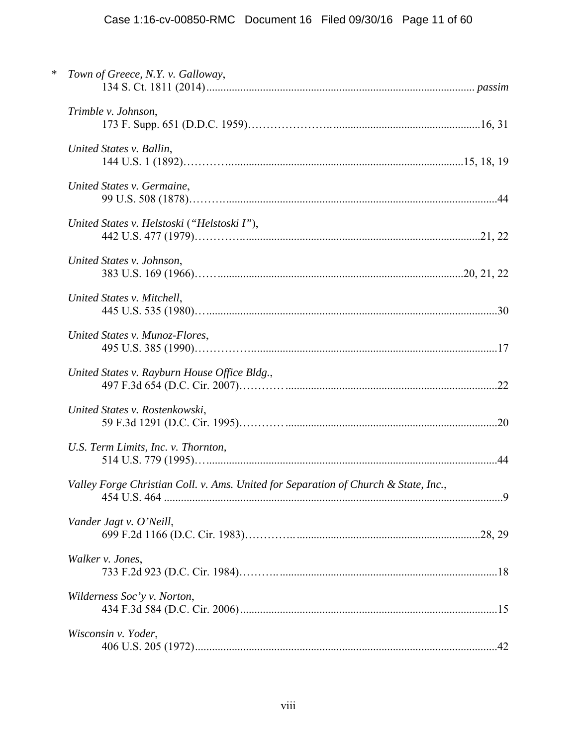| ∗ | Town of Greece, N.Y. v. Galloway,                                                   |  |
|---|-------------------------------------------------------------------------------------|--|
|   | Trimble v. Johnson,                                                                 |  |
|   | United States v. Ballin,                                                            |  |
|   | United States v. Germaine,                                                          |  |
|   | United States v. Helstoski ("Helstoski I"),                                         |  |
|   | United States v. Johnson,                                                           |  |
|   | United States v. Mitchell,                                                          |  |
|   | United States v. Munoz-Flores,                                                      |  |
|   | United States v. Rayburn House Office Bldg.,                                        |  |
|   | United States v. Rostenkowski,                                                      |  |
|   | U.S. Term Limits, Inc. v. Thornton,                                                 |  |
|   | Valley Forge Christian Coll. v. Ams. United for Separation of Church & State, Inc., |  |
|   | Vander Jagt v. O'Neill,                                                             |  |
|   | Walker v. Jones,                                                                    |  |
|   | Wilderness Soc'y v. Norton,                                                         |  |
|   | Wisconsin v. Yoder,                                                                 |  |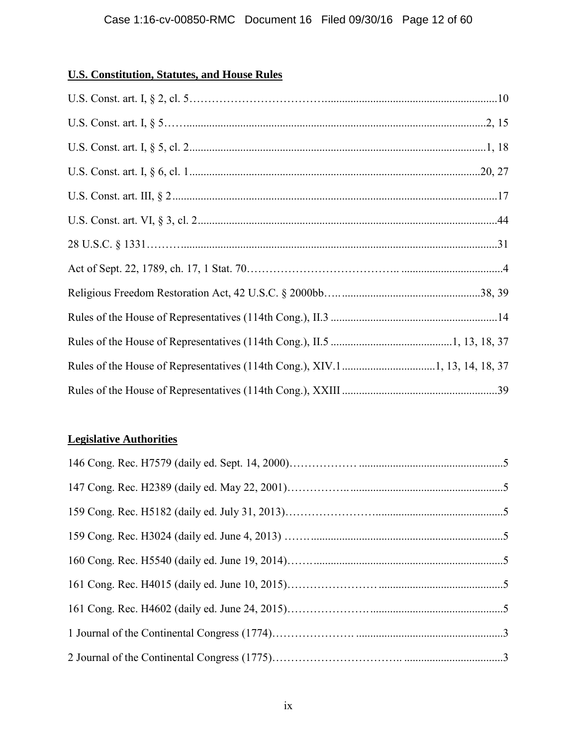## **U.S. Constitution, Statutes, and House Rules**

## **Legislative Authorities**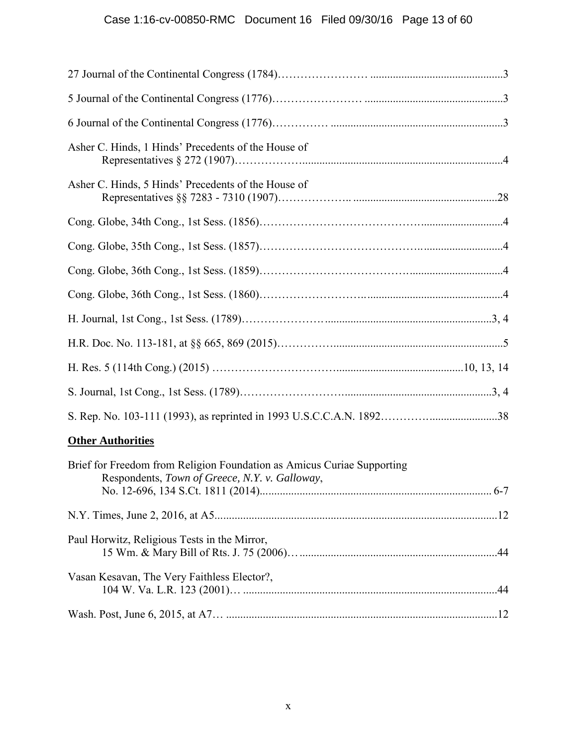# Case 1:16-cv-00850-RMC Document 16 Filed 09/30/16 Page 13 of 60

| Asher C. Hinds, 1 Hinds' Precedents of the House of                                                                      |  |
|--------------------------------------------------------------------------------------------------------------------------|--|
| Asher C. Hinds, 5 Hinds' Precedents of the House of                                                                      |  |
|                                                                                                                          |  |
|                                                                                                                          |  |
|                                                                                                                          |  |
|                                                                                                                          |  |
|                                                                                                                          |  |
|                                                                                                                          |  |
|                                                                                                                          |  |
|                                                                                                                          |  |
|                                                                                                                          |  |
| <b>Other Authorities</b>                                                                                                 |  |
| Brief for Freedom from Religion Foundation as Amicus Curiae Supporting<br>Respondents, Town of Greece, N.Y. v. Galloway, |  |
|                                                                                                                          |  |
| Paul Horwitz, Religious Tests in the Mirror,                                                                             |  |
| Vasan Kesavan, The Very Faithless Elector?,                                                                              |  |
|                                                                                                                          |  |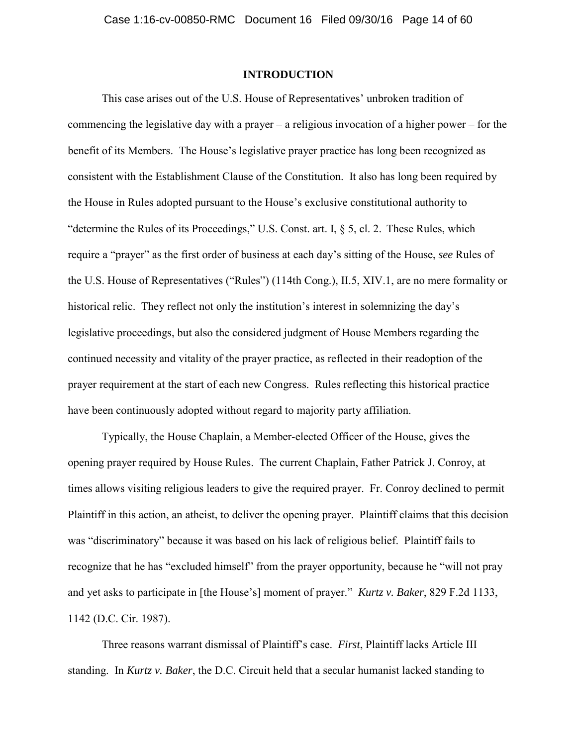### **INTRODUCTION**

This case arises out of the U.S. House of Representatives' unbroken tradition of commencing the legislative day with a prayer – a religious invocation of a higher power – for the benefit of its Members. The House's legislative prayer practice has long been recognized as consistent with the Establishment Clause of the Constitution. It also has long been required by the House in Rules adopted pursuant to the House's exclusive constitutional authority to "determine the Rules of its Proceedings," U.S. Const. art. I, § 5, cl. 2. These Rules, which require a "prayer" as the first order of business at each day's sitting of the House, *see* Rules of the U.S. House of Representatives ("Rules") (114th Cong.), II.5, XIV.1, are no mere formality or historical relic. They reflect not only the institution's interest in solemnizing the day's legislative proceedings, but also the considered judgment of House Members regarding the continued necessity and vitality of the prayer practice, as reflected in their readoption of the prayer requirement at the start of each new Congress. Rules reflecting this historical practice have been continuously adopted without regard to majority party affiliation.

Typically, the House Chaplain, a Member-elected Officer of the House, gives the opening prayer required by House Rules. The current Chaplain, Father Patrick J. Conroy, at times allows visiting religious leaders to give the required prayer. Fr. Conroy declined to permit Plaintiff in this action, an atheist, to deliver the opening prayer. Plaintiff claims that this decision was "discriminatory" because it was based on his lack of religious belief. Plaintiff fails to recognize that he has "excluded himself" from the prayer opportunity, because he "will not pray and yet asks to participate in [the House's] moment of prayer." *Kurtz v. Baker*, 829 F.2d 1133, 1142 (D.C. Cir. 1987).

Three reasons warrant dismissal of Plaintiff's case. *First*, Plaintiff lacks Article III standing. In *Kurtz v. Baker*, the D.C. Circuit held that a secular humanist lacked standing to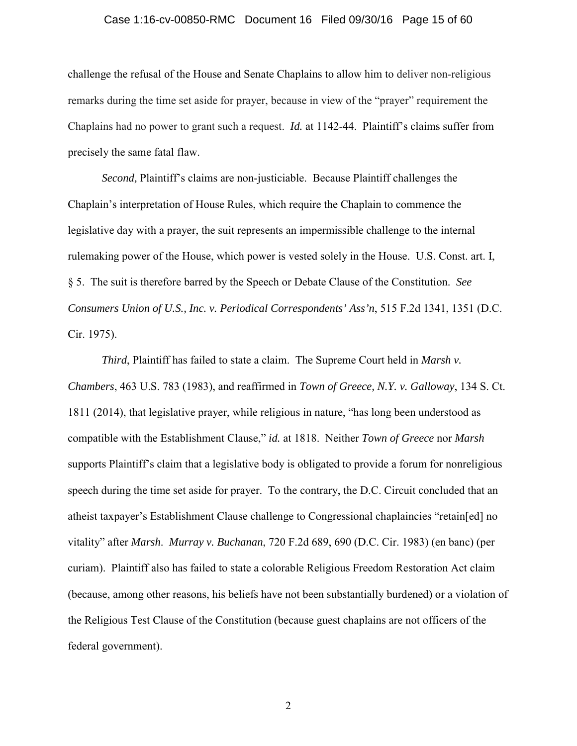#### Case 1:16-cv-00850-RMC Document 16 Filed 09/30/16 Page 15 of 60

challenge the refusal of the House and Senate Chaplains to allow him to deliver non-religious remarks during the time set aside for prayer, because in view of the "prayer" requirement the Chaplains had no power to grant such a request. *Id.* at 1142-44. Plaintiff's claims suffer from precisely the same fatal flaw.

*Second,* Plaintiff's claims are non-justiciable. Because Plaintiff challenges the Chaplain's interpretation of House Rules, which require the Chaplain to commence the legislative day with a prayer, the suit represents an impermissible challenge to the internal rulemaking power of the House, which power is vested solely in the House. U.S. Const. art. I, § 5. The suit is therefore barred by the Speech or Debate Clause of the Constitution. *See Consumers Union of U.S., Inc. v. Periodical Correspondents' Ass'n*, 515 F.2d 1341, 1351 (D.C. Cir. 1975).

*Third*, Plaintiff has failed to state a claim. The Supreme Court held in *Marsh v. Chambers*, 463 U.S. 783 (1983), and reaffirmed in *Town of Greece, N.Y. v. Galloway*, 134 S. Ct. 1811 (2014), that legislative prayer, while religious in nature, "has long been understood as compatible with the Establishment Clause," *id.* at 1818. Neither *Town of Greece* nor *Marsh* supports Plaintiff's claim that a legislative body is obligated to provide a forum for nonreligious speech during the time set aside for prayer. To the contrary, the D.C. Circuit concluded that an atheist taxpayer's Establishment Clause challenge to Congressional chaplaincies "retain[ed] no vitality" after *Marsh*. *Murray v. Buchanan*, 720 F.2d 689, 690 (D.C. Cir. 1983) (en banc) (per curiam). Plaintiff also has failed to state a colorable Religious Freedom Restoration Act claim (because, among other reasons, his beliefs have not been substantially burdened) or a violation of the Religious Test Clause of the Constitution (because guest chaplains are not officers of the federal government).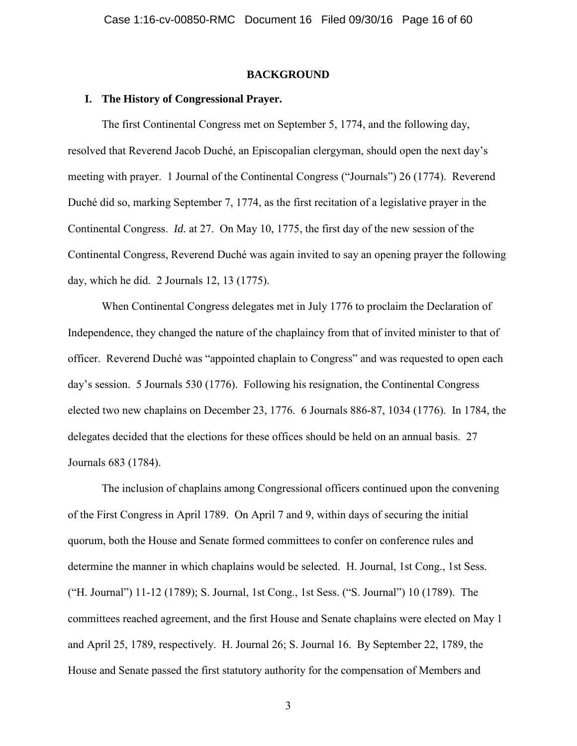#### **BACKGROUND**

#### **I. The History of Congressional Prayer.**

The first Continental Congress met on September 5, 1774, and the following day, resolved that Reverend Jacob Duché, an Episcopalian clergyman, should open the next day's meeting with prayer. 1 Journal of the Continental Congress ("Journals") 26 (1774). Reverend Duché did so, marking September 7, 1774, as the first recitation of a legislative prayer in the Continental Congress. *Id.* at 27. On May 10, 1775, the first day of the new session of the Continental Congress, Reverend Duché was again invited to say an opening prayer the following day, which he did. 2 Journals 12, 13 (1775).

When Continental Congress delegates met in July 1776 to proclaim the Declaration of Independence, they changed the nature of the chaplaincy from that of invited minister to that of officer. Reverend Duché was "appointed chaplain to Congress" and was requested to open each day's session. 5 Journals 530 (1776). Following his resignation, the Continental Congress elected two new chaplains on December 23, 1776. 6 Journals 886-87, 1034 (1776). In 1784, the delegates decided that the elections for these offices should be held on an annual basis. 27 Journals 683 (1784).

The inclusion of chaplains among Congressional officers continued upon the convening of the First Congress in April 1789. On April 7 and 9, within days of securing the initial quorum, both the House and Senate formed committees to confer on conference rules and determine the manner in which chaplains would be selected. H. Journal, 1st Cong., 1st Sess. ("H. Journal") 11-12 (1789); S. Journal, 1st Cong., 1st Sess. ("S. Journal") 10 (1789). The committees reached agreement, and the first House and Senate chaplains were elected on May 1 and April 25, 1789, respectively. H. Journal 26; S. Journal 16. By September 22, 1789, the House and Senate passed the first statutory authority for the compensation of Members and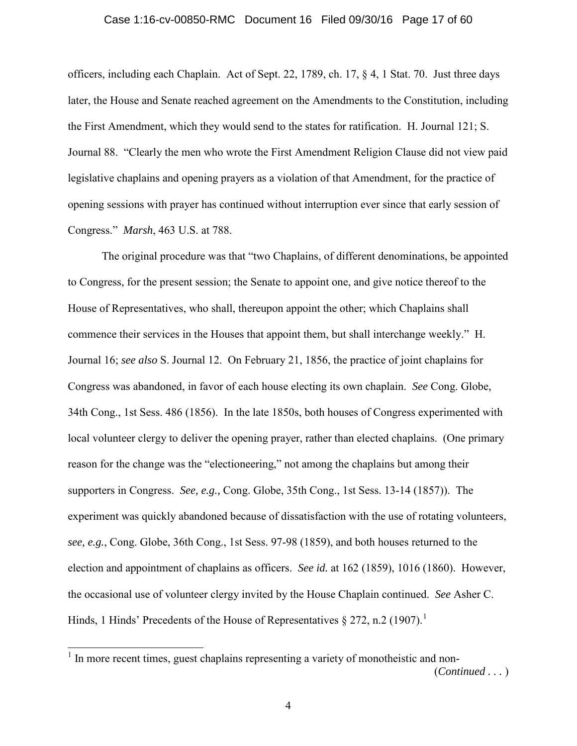#### Case 1:16-cv-00850-RMC Document 16 Filed 09/30/16 Page 17 of 60

officers, including each Chaplain. Act of Sept. 22, 1789, ch. 17, § 4, 1 Stat. 70. Just three days later, the House and Senate reached agreement on the Amendments to the Constitution, including the First Amendment, which they would send to the states for ratification. H. Journal 121; S. Journal 88. "Clearly the men who wrote the First Amendment Religion Clause did not view paid legislative chaplains and opening prayers as a violation of that Amendment, for the practice of opening sessions with prayer has continued without interruption ever since that early session of Congress." *Marsh*, 463 U.S. at 788.

The original procedure was that "two Chaplains, of different denominations, be appointed to Congress, for the present session; the Senate to appoint one, and give notice thereof to the House of Representatives, who shall, thereupon appoint the other; which Chaplains shall commence their services in the Houses that appoint them, but shall interchange weekly." H. Journal 16; *see also* S. Journal 12. On February 21, 1856, the practice of joint chaplains for Congress was abandoned, in favor of each house electing its own chaplain. *See* Cong. Globe, 34th Cong., 1st Sess. 486 (1856). In the late 1850s, both houses of Congress experimented with local volunteer clergy to deliver the opening prayer, rather than elected chaplains. (One primary reason for the change was the "electioneering," not among the chaplains but among their supporters in Congress. *See, e.g.,* Cong. Globe, 35th Cong., 1st Sess. 13-14 (1857)). The experiment was quickly abandoned because of dissatisfaction with the use of rotating volunteers, *see, e.g.*, Cong. Globe, 36th Cong., 1st Sess. 97-98 (1859), and both houses returned to the election and appointment of chaplains as officers. *See id.* at 162 (1859), 1016 (1860). However, the occasional use of volunteer clergy invited by the House Chaplain continued. *See* Asher C. Hinds, 1 Hinds' Precedents of the House of Representatives  $\S 272$ , n.2 (1907).<sup>1</sup>

 $1$  In more recent times, guest chaplains representing a variety of monotheistic and non-(*Continued . . .* )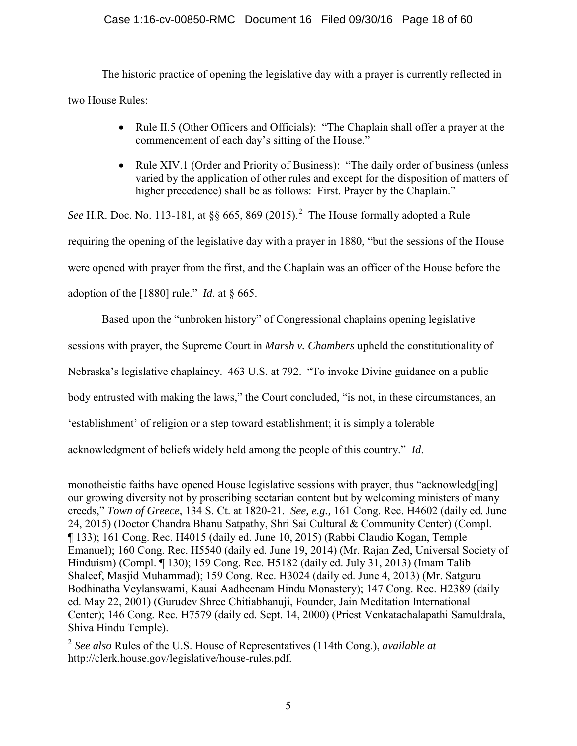## Case 1:16-cv-00850-RMC Document 16 Filed 09/30/16 Page 18 of 60

The historic practice of opening the legislative day with a prayer is currently reflected in two House Rules:

- Rule II.5 (Other Officers and Officials): "The Chaplain shall offer a prayer at the commencement of each day's sitting of the House."
- Rule XIV.1 (Order and Priority of Business): "The daily order of business (unless varied by the application of other rules and except for the disposition of matters of higher precedence) shall be as follows: First. Prayer by the Chaplain."

See H.R. Doc. No. 113-181, at  $\S$ § 665, 869 (2015).<sup>2</sup> The House formally adopted a Rule requiring the opening of the legislative day with a prayer in 1880, "but the sessions of the House were opened with prayer from the first, and the Chaplain was an officer of the House before the adoption of the [1880] rule." *Id*. at § 665.

Based upon the "unbroken history" of Congressional chaplains opening legislative

sessions with prayer, the Supreme Court in *Marsh v. Chambers* upheld the constitutionality of

Nebraska's legislative chaplaincy. 463 U.S. at 792. "To invoke Divine guidance on a public

body entrusted with making the laws," the Court concluded, "is not, in these circumstances, an

'establishment' of religion or a step toward establishment; it is simply a tolerable

acknowledgment of beliefs widely held among the people of this country." *Id*.

 $\overline{a}$ monotheistic faiths have opened House legislative sessions with prayer, thus "acknowledg[ing] our growing diversity not by proscribing sectarian content but by welcoming ministers of many creeds," *Town of Greece*, 134 S. Ct. at 1820-21. *See, e.g.,* 161 Cong. Rec. H4602 (daily ed. June 24, 2015) (Doctor Chandra Bhanu Satpathy, Shri Sai Cultural & Community Center) (Compl. ¶ 133); 161 Cong. Rec. H4015 (daily ed. June 10, 2015) (Rabbi Claudio Kogan, Temple Emanuel); 160 Cong. Rec. H5540 (daily ed. June 19, 2014) (Mr. Rajan Zed, Universal Society of Hinduism) (Compl. ¶ 130); 159 Cong. Rec. H5182 (daily ed. July 31, 2013) (Imam Talib Shaleef, Masjid Muhammad); 159 Cong. Rec. H3024 (daily ed. June 4, 2013) (Mr. Satguru Bodhinatha Veylanswami, Kauai Aadheenam Hindu Monastery); 147 Cong. Rec. H2389 (daily ed. May 22, 2001) (Gurudev Shree Chitiabhanuji, Founder, Jain Meditation International Center); 146 Cong. Rec. H7579 (daily ed. Sept. 14, 2000) (Priest Venkatachalapathi Samuldrala, Shiva Hindu Temple).

<sup>2</sup> *See also* Rules of the U.S. House of Representatives (114th Cong.), *available at*  http://clerk.house.gov/legislative/house-rules.pdf.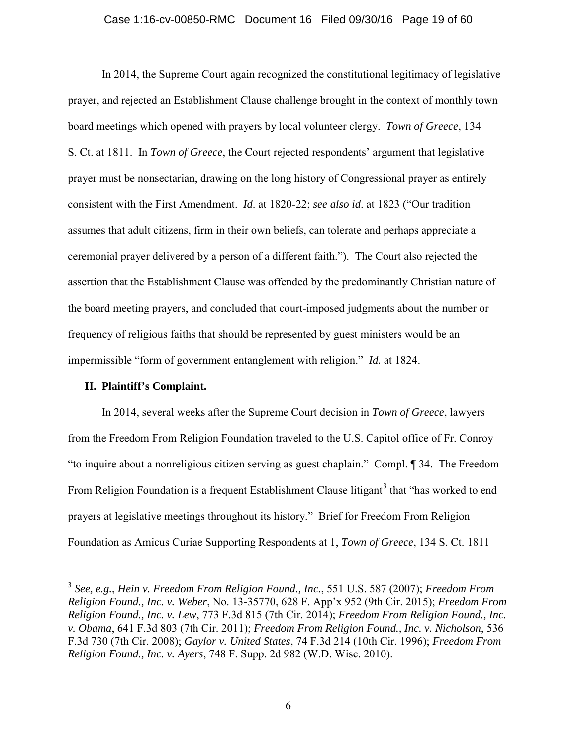#### Case 1:16-cv-00850-RMC Document 16 Filed 09/30/16 Page 19 of 60

In 2014, the Supreme Court again recognized the constitutional legitimacy of legislative prayer, and rejected an Establishment Clause challenge brought in the context of monthly town board meetings which opened with prayers by local volunteer clergy. *Town of Greece*, 134 S. Ct. at 1811. In *Town of Greece*, the Court rejected respondents' argument that legislative prayer must be nonsectarian, drawing on the long history of Congressional prayer as entirely consistent with the First Amendment. *Id*. at 1820-22; *see also id*. at 1823 ("Our tradition assumes that adult citizens, firm in their own beliefs, can tolerate and perhaps appreciate a ceremonial prayer delivered by a person of a different faith."). The Court also rejected the assertion that the Establishment Clause was offended by the predominantly Christian nature of the board meeting prayers, and concluded that court-imposed judgments about the number or frequency of religious faiths that should be represented by guest ministers would be an impermissible "form of government entanglement with religion." *Id.* at 1824.

#### **II. Plaintiff's Complaint.**

 $\overline{a}$ 

In 2014, several weeks after the Supreme Court decision in *Town of Greece*, lawyers from the Freedom From Religion Foundation traveled to the U.S. Capitol office of Fr. Conroy "to inquire about a nonreligious citizen serving as guest chaplain." Compl. ¶ 34. The Freedom From Religion Foundation is a frequent Establishment Clause litigant<sup>3</sup> that "has worked to end prayers at legislative meetings throughout its history." Brief for Freedom From Religion Foundation as Amicus Curiae Supporting Respondents at 1, *Town of Greece*, 134 S. Ct. 1811

<sup>3</sup> *See, e.g.*, *Hein v. Freedom From Religion Found., Inc.*, 551 U.S. 587 (2007); *Freedom From Religion Found., Inc. v. Weber*, No. 13-35770, 628 F. App'x 952 (9th Cir. 2015); *Freedom From Religion Found., Inc. v. Lew*, 773 F.3d 815 (7th Cir. 2014); *Freedom From Religion Found., Inc. v. Obama*, 641 F.3d 803 (7th Cir. 2011); *Freedom From Religion Found., Inc. v. Nicholson*, 536 F.3d 730 (7th Cir. 2008); *Gaylor v. United States*, 74 F.3d 214 (10th Cir. 1996); *Freedom From Religion Found., Inc. v. Ayers*, 748 F. Supp. 2d 982 (W.D. Wisc. 2010).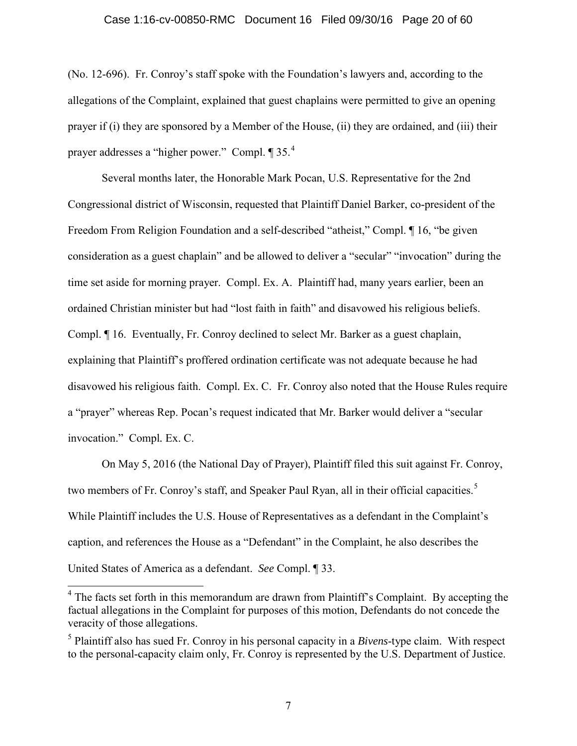#### Case 1:16-cv-00850-RMC Document 16 Filed 09/30/16 Page 20 of 60

(No. 12-696). Fr. Conroy's staff spoke with the Foundation's lawyers and, according to the allegations of the Complaint, explained that guest chaplains were permitted to give an opening prayer if (i) they are sponsored by a Member of the House, (ii) they are ordained, and (iii) their prayer addresses a "higher power." Compl. ¶ 35.<sup>4</sup>

Several months later, the Honorable Mark Pocan, U.S. Representative for the 2nd Congressional district of Wisconsin, requested that Plaintiff Daniel Barker, co-president of the Freedom From Religion Foundation and a self-described "atheist," Compl. ¶ 16, "be given consideration as a guest chaplain" and be allowed to deliver a "secular" "invocation" during the time set aside for morning prayer. Compl. Ex. A. Plaintiff had, many years earlier, been an ordained Christian minister but had "lost faith in faith" and disavowed his religious beliefs. Compl. ¶ 16. Eventually, Fr. Conroy declined to select Mr. Barker as a guest chaplain, explaining that Plaintiff's proffered ordination certificate was not adequate because he had disavowed his religious faith. Compl*.* Ex. C. Fr. Conroy also noted that the House Rules require a "prayer" whereas Rep. Pocan's request indicated that Mr. Barker would deliver a "secular invocation." Compl*.* Ex. C.

On May 5, 2016 (the National Day of Prayer), Plaintiff filed this suit against Fr. Conroy, two members of Fr. Conroy's staff, and Speaker Paul Ryan, all in their official capacities.<sup>5</sup> While Plaintiff includes the U.S. House of Representatives as a defendant in the Complaint's caption, and references the House as a "Defendant" in the Complaint, he also describes the United States of America as a defendant. *See* Compl. ¶ 33.

 $4$  The facts set forth in this memorandum are drawn from Plaintiff's Complaint. By accepting the factual allegations in the Complaint for purposes of this motion, Defendants do not concede the veracity of those allegations.

<sup>5</sup> Plaintiff also has sued Fr. Conroy in his personal capacity in a *Bivens*-type claim. With respect to the personal-capacity claim only, Fr. Conroy is represented by the U.S. Department of Justice.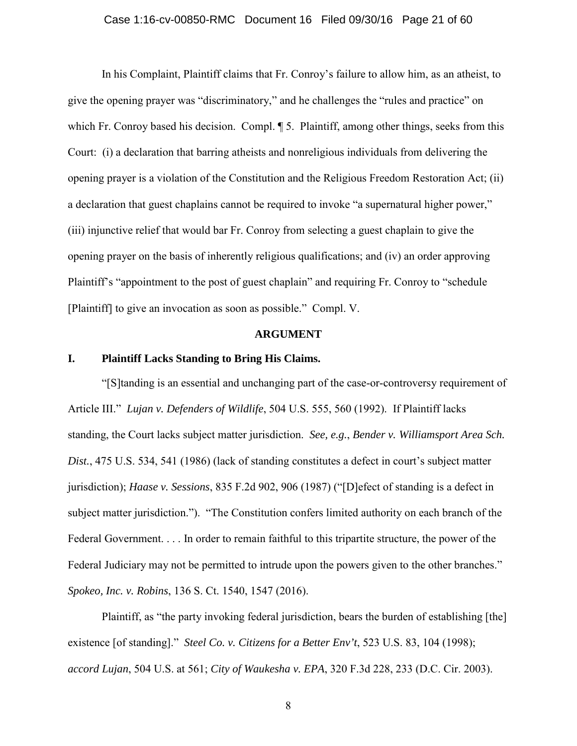#### Case 1:16-cv-00850-RMC Document 16 Filed 09/30/16 Page 21 of 60

In his Complaint, Plaintiff claims that Fr. Conroy's failure to allow him, as an atheist, to give the opening prayer was "discriminatory," and he challenges the "rules and practice" on which Fr. Conroy based his decision. Compl.  $\sqrt{9}$  5. Plaintiff, among other things, seeks from this Court: (i) a declaration that barring atheists and nonreligious individuals from delivering the opening prayer is a violation of the Constitution and the Religious Freedom Restoration Act; (ii) a declaration that guest chaplains cannot be required to invoke "a supernatural higher power," (iii) injunctive relief that would bar Fr. Conroy from selecting a guest chaplain to give the opening prayer on the basis of inherently religious qualifications; and (iv) an order approving Plaintiff's "appointment to the post of guest chaplain" and requiring Fr. Conroy to "schedule [Plaintiff] to give an invocation as soon as possible." Compl. V.

#### **ARGUMENT**

## **I. Plaintiff Lacks Standing to Bring His Claims.**

"[S]tanding is an essential and unchanging part of the case-or-controversy requirement of Article III." *Lujan v. Defenders of Wildlife*, 504 U.S. 555, 560 (1992). If Plaintiff lacks standing, the Court lacks subject matter jurisdiction. *See, e.g.*, *Bender v. Williamsport Area Sch. Dist.*, 475 U.S. 534, 541 (1986) (lack of standing constitutes a defect in court's subject matter jurisdiction); *Haase v. Sessions*, 835 F.2d 902, 906 (1987) ("[D]efect of standing is a defect in subject matter jurisdiction."). "The Constitution confers limited authority on each branch of the Federal Government. . . . In order to remain faithful to this tripartite structure, the power of the Federal Judiciary may not be permitted to intrude upon the powers given to the other branches." *Spokeo, Inc. v. Robins*, 136 S. Ct. 1540, 1547 (2016).

Plaintiff, as "the party invoking federal jurisdiction, bears the burden of establishing [the] existence [of standing]." *Steel Co. v. Citizens for a Better Env't*, 523 U.S. 83, 104 (1998); *accord Lujan*, 504 U.S. at 561; *City of Waukesha v. EPA*, 320 F.3d 228, 233 (D.C. Cir. 2003).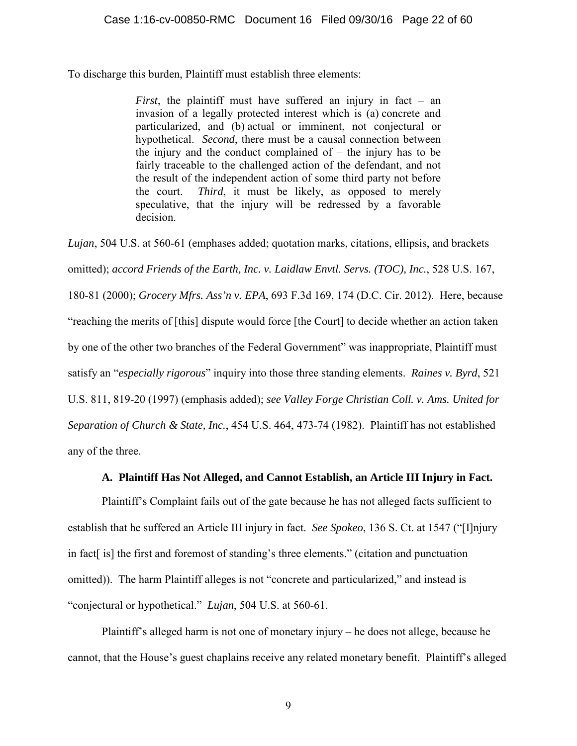To discharge this burden, Plaintiff must establish three elements:

*First*, the plaintiff must have suffered an injury in fact – an invasion of a legally protected interest which is (a) concrete and particularized, and (b) actual or imminent, not conjectural or hypothetical. *Second*, there must be a causal connection between the injury and the conduct complained of  $-$  the injury has to be fairly traceable to the challenged action of the defendant, and not the result of the independent action of some third party not before the court. *Third*, it must be likely, as opposed to merely speculative, that the injury will be redressed by a favorable decision.

*Lujan*, 504 U.S. at 560-61 (emphases added; quotation marks, citations, ellipsis, and brackets omitted); *accord Friends of the Earth, Inc. v. Laidlaw Envtl. Servs. (TOC), Inc.*, 528 U.S. 167, 180-81 (2000); *Grocery Mfrs. Ass'n v. EPA*, 693 F.3d 169, 174 (D.C. Cir. 2012). Here, because "reaching the merits of [this] dispute would force [the Court] to decide whether an action taken by one of the other two branches of the Federal Government" was inappropriate, Plaintiff must satisfy an "*especially rigorous*" inquiry into those three standing elements. *Raines v. Byrd*, 521 U.S. 811, 819-20 (1997) (emphasis added); *see Valley Forge Christian Coll. v. Ams. United for Separation of Church & State, Inc.*, 454 U.S. 464, 473-74 (1982). Plaintiff has not established any of the three.

## **A. Plaintiff Has Not Alleged, and Cannot Establish, an Article III Injury in Fact.**

Plaintiff's Complaint fails out of the gate because he has not alleged facts sufficient to establish that he suffered an Article III injury in fact. *See Spokeo*, 136 S. Ct. at 1547 ("[I]njury in fact[ is] the first and foremost of standing's three elements." (citation and punctuation omitted)). The harm Plaintiff alleges is not "concrete and particularized," and instead is "conjectural or hypothetical." *Lujan*, 504 U.S. at 560-61.

Plaintiff's alleged harm is not one of monetary injury – he does not allege, because he cannot, that the House's guest chaplains receive any related monetary benefit. Plaintiff's alleged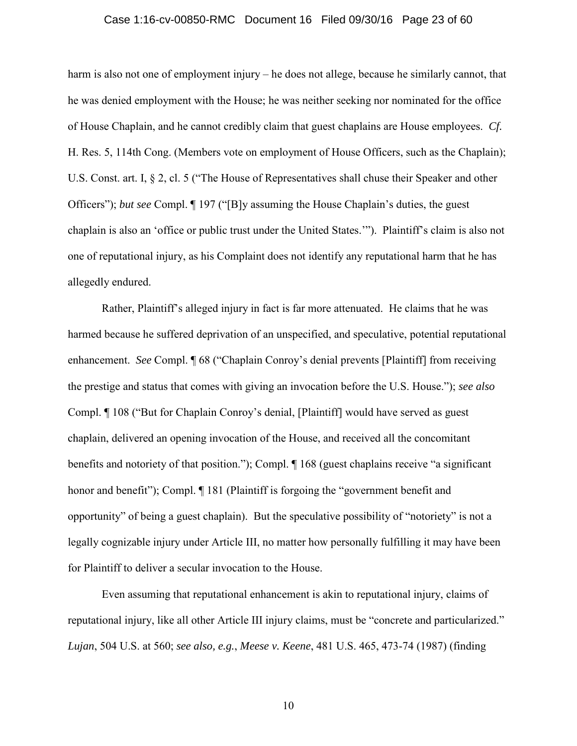#### Case 1:16-cv-00850-RMC Document 16 Filed 09/30/16 Page 23 of 60

harm is also not one of employment injury – he does not allege, because he similarly cannot, that he was denied employment with the House; he was neither seeking nor nominated for the office of House Chaplain, and he cannot credibly claim that guest chaplains are House employees. *Cf.* H. Res. 5, 114th Cong. (Members vote on employment of House Officers, such as the Chaplain); U.S. Const. art. I, § 2, cl. 5 ("The House of Representatives shall chuse their Speaker and other Officers"); *but see* Compl. ¶ 197 ("[B]y assuming the House Chaplain's duties, the guest chaplain is also an 'office or public trust under the United States.'"). Plaintiff's claim is also not one of reputational injury, as his Complaint does not identify any reputational harm that he has allegedly endured.

Rather, Plaintiff's alleged injury in fact is far more attenuated. He claims that he was harmed because he suffered deprivation of an unspecified, and speculative, potential reputational enhancement. *See* Compl. **[68** ("Chaplain Conroy's denial prevents [Plaintiff] from receiving the prestige and status that comes with giving an invocation before the U.S. House."); *see also* Compl. ¶ 108 ("But for Chaplain Conroy's denial, [Plaintiff] would have served as guest chaplain, delivered an opening invocation of the House, and received all the concomitant benefits and notoriety of that position."); Compl. ¶ 168 (guest chaplains receive "a significant honor and benefit"); Compl.  $\P$  181 (Plaintiff is forgoing the "government benefit and opportunity" of being a guest chaplain). But the speculative possibility of "notoriety" is not a legally cognizable injury under Article III, no matter how personally fulfilling it may have been for Plaintiff to deliver a secular invocation to the House.

 Even assuming that reputational enhancement is akin to reputational injury, claims of reputational injury, like all other Article III injury claims, must be "concrete and particularized." *Lujan*, 504 U.S. at 560; *see also, e.g.*, *Meese v. Keene*, 481 U.S. 465, 473-74 (1987) (finding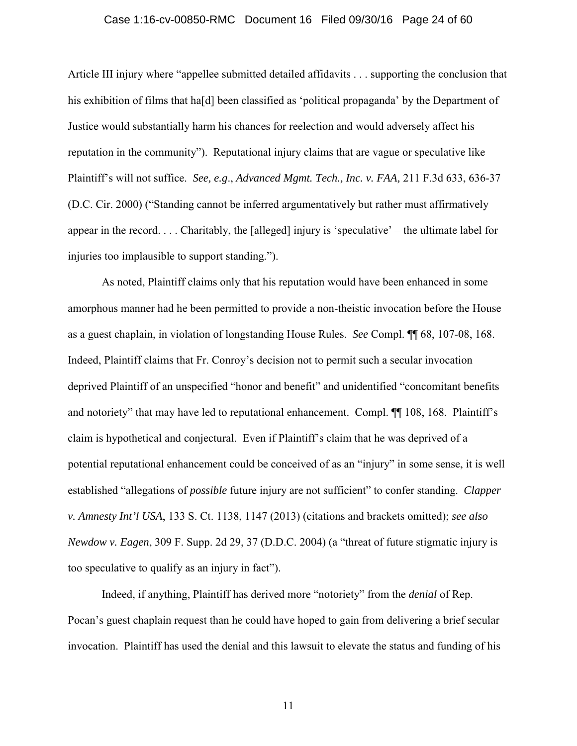#### Case 1:16-cv-00850-RMC Document 16 Filed 09/30/16 Page 24 of 60

Article III injury where "appellee submitted detailed affidavits . . . supporting the conclusion that his exhibition of films that hald been classified as 'political propaganda' by the Department of Justice would substantially harm his chances for reelection and would adversely affect his reputation in the community"). Reputational injury claims that are vague or speculative like Plaintiff's will not suffice. *See, e.g*., *Advanced Mgmt. Tech., Inc. v. FAA,* 211 F.3d 633, 636-37 (D.C. Cir. 2000) ("Standing cannot be inferred argumentatively but rather must affirmatively appear in the record. . . . Charitably, the [alleged] injury is 'speculative' – the ultimate label for injuries too implausible to support standing.").

 As noted, Plaintiff claims only that his reputation would have been enhanced in some amorphous manner had he been permitted to provide a non-theistic invocation before the House as a guest chaplain, in violation of longstanding House Rules. *See* Compl. ¶¶ 68, 107-08, 168. Indeed, Plaintiff claims that Fr. Conroy's decision not to permit such a secular invocation deprived Plaintiff of an unspecified "honor and benefit" and unidentified "concomitant benefits and notoriety" that may have led to reputational enhancement. Compl. ¶¶ 108, 168. Plaintiff's claim is hypothetical and conjectural. Even if Plaintiff's claim that he was deprived of a potential reputational enhancement could be conceived of as an "injury" in some sense, it is well established "allegations of *possible* future injury are not sufficient" to confer standing. *Clapper v. Amnesty Int'l USA*, 133 S. Ct. 1138, 1147 (2013) (citations and brackets omitted); *see also Newdow v. Eagen*, 309 F. Supp. 2d 29, 37 (D.D.C. 2004) (a "threat of future stigmatic injury is too speculative to qualify as an injury in fact").

Indeed, if anything, Plaintiff has derived more "notoriety" from the *denial* of Rep. Pocan's guest chaplain request than he could have hoped to gain from delivering a brief secular invocation. Plaintiff has used the denial and this lawsuit to elevate the status and funding of his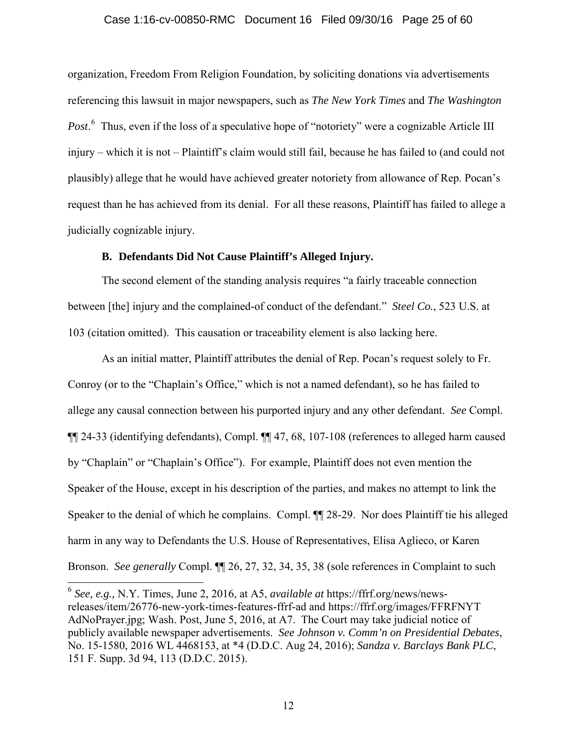#### Case 1:16-cv-00850-RMC Document 16 Filed 09/30/16 Page 25 of 60

organization, Freedom From Religion Foundation, by soliciting donations via advertisements referencing this lawsuit in major newspapers, such as *The New York Times* and *The Washington*  Post.<sup>6</sup> Thus, even if the loss of a speculative hope of "notoriety" were a cognizable Article III injury – which it is not – Plaintiff's claim would still fail, because he has failed to (and could not plausibly) allege that he would have achieved greater notoriety from allowance of Rep. Pocan's request than he has achieved from its denial. For all these reasons, Plaintiff has failed to allege a judicially cognizable injury.

## **B. Defendants Did Not Cause Plaintiff's Alleged Injury.**

The second element of the standing analysis requires "a fairly traceable connection between [the] injury and the complained-of conduct of the defendant." *Steel Co.*, 523 U.S. at 103 (citation omitted). This causation or traceability element is also lacking here.

As an initial matter, Plaintiff attributes the denial of Rep. Pocan's request solely to Fr. Conroy (or to the "Chaplain's Office," which is not a named defendant), so he has failed to allege any causal connection between his purported injury and any other defendant. *See* Compl. ¶¶ 24-33 (identifying defendants), Compl. ¶¶ 47, 68, 107-108 (references to alleged harm caused by "Chaplain" or "Chaplain's Office"). For example, Plaintiff does not even mention the Speaker of the House, except in his description of the parties, and makes no attempt to link the Speaker to the denial of which he complains. Compl. ¶¶ 28-29. Nor does Plaintiff tie his alleged harm in any way to Defendants the U.S. House of Representatives, Elisa Aglieco, or Karen Bronson. *See generally* Compl. ¶¶ 26, 27, 32, 34, 35, 38 (sole references in Complaint to such

 $\overline{a}$ 

<sup>6</sup> *See, e.g.,* N.Y. Times, June 2, 2016, at A5, *available at* https://ffrf.org/news/newsreleases/item/26776-new-york-times-features-ffrf-ad and https://ffrf.org/images/FFRFNYT AdNoPrayer.jpg; Wash. Post, June 5, 2016, at A7. The Court may take judicial notice of publicly available newspaper advertisements. *See Johnson v. Comm'n on Presidential Debates*, No. 15-1580, 2016 WL 4468153, at \*4 (D.D.C. Aug 24, 2016); *Sandza v. Barclays Bank PLC*, 151 F. Supp. 3d 94, 113 (D.D.C. 2015).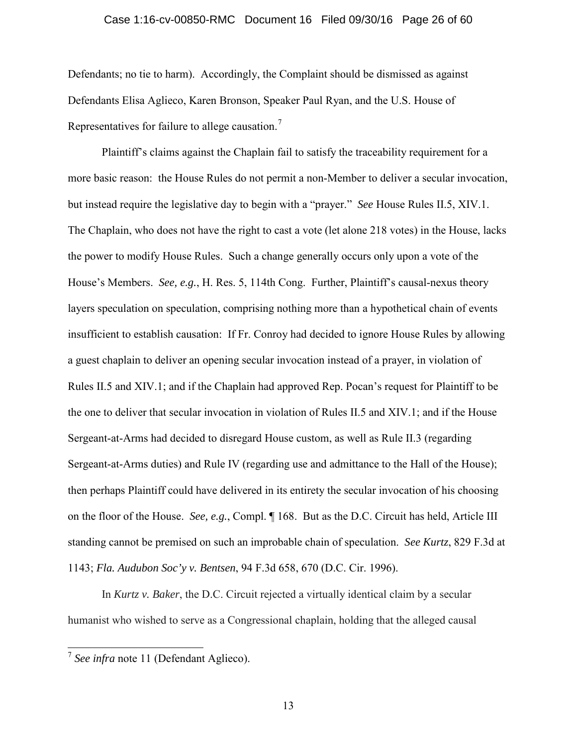#### Case 1:16-cv-00850-RMC Document 16 Filed 09/30/16 Page 26 of 60

Defendants; no tie to harm). Accordingly, the Complaint should be dismissed as against Defendants Elisa Aglieco, Karen Bronson, Speaker Paul Ryan, and the U.S. House of Representatives for failure to allege causation.<sup>7</sup>

Plaintiff's claims against the Chaplain fail to satisfy the traceability requirement for a more basic reason: the House Rules do not permit a non-Member to deliver a secular invocation, but instead require the legislative day to begin with a "prayer." *See* House Rules II.5, XIV.1. The Chaplain, who does not have the right to cast a vote (let alone 218 votes) in the House, lacks the power to modify House Rules. Such a change generally occurs only upon a vote of the House's Members. *See, e.g.*, H. Res. 5, 114th Cong. Further, Plaintiff's causal-nexus theory layers speculation on speculation, comprising nothing more than a hypothetical chain of events insufficient to establish causation: If Fr. Conroy had decided to ignore House Rules by allowing a guest chaplain to deliver an opening secular invocation instead of a prayer, in violation of Rules II.5 and XIV.1; and if the Chaplain had approved Rep. Pocan's request for Plaintiff to be the one to deliver that secular invocation in violation of Rules II.5 and XIV.1; and if the House Sergeant-at-Arms had decided to disregard House custom, as well as Rule II.3 (regarding Sergeant-at-Arms duties) and Rule IV (regarding use and admittance to the Hall of the House); then perhaps Plaintiff could have delivered in its entirety the secular invocation of his choosing on the floor of the House. *See, e.g.*, Compl. ¶ 168. But as the D.C. Circuit has held, Article III standing cannot be premised on such an improbable chain of speculation. *See Kurtz*, 829 F.3d at 1143; *Fla. Audubon Soc'y v. Bentsen*, 94 F.3d 658, 670 (D.C. Cir. 1996).

In *Kurtz v. Baker*, the D.C. Circuit rejected a virtually identical claim by a secular humanist who wished to serve as a Congressional chaplain, holding that the alleged causal

<sup>7</sup> *See infra* note 11 (Defendant Aglieco).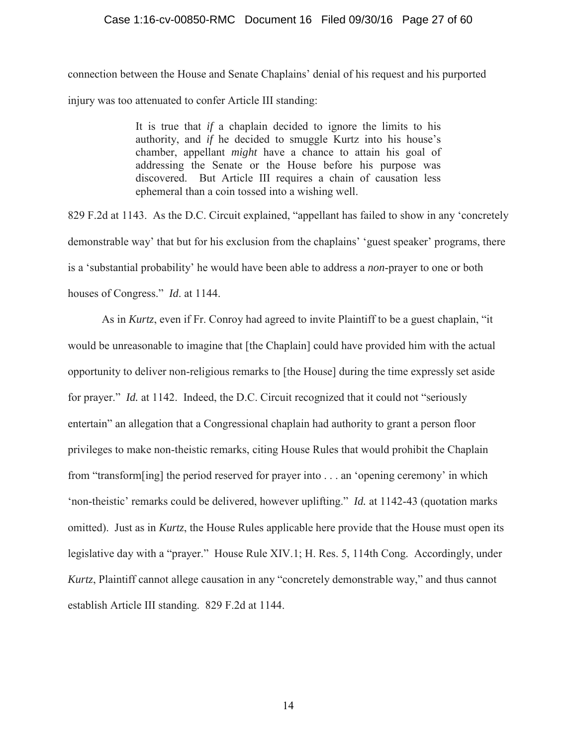#### Case 1:16-cv-00850-RMC Document 16 Filed 09/30/16 Page 27 of 60

connection between the House and Senate Chaplains' denial of his request and his purported injury was too attenuated to confer Article III standing:

> It is true that *if* a chaplain decided to ignore the limits to his authority, and *if* he decided to smuggle Kurtz into his house's chamber, appellant *might* have a chance to attain his goal of addressing the Senate or the House before his purpose was discovered. But Article III requires a chain of causation less ephemeral than a coin tossed into a wishing well.

829 F.2d at 1143. As the D.C. Circuit explained, "appellant has failed to show in any 'concretely demonstrable way' that but for his exclusion from the chaplains' 'guest speaker' programs, there is a 'substantial probability' he would have been able to address a *non*-prayer to one or both houses of Congress." *Id*. at 1144.

As in *Kurtz*, even if Fr. Conroy had agreed to invite Plaintiff to be a guest chaplain, "it would be unreasonable to imagine that [the Chaplain] could have provided him with the actual opportunity to deliver non-religious remarks to [the House] during the time expressly set aside for prayer." *Id.* at 1142. Indeed, the D.C. Circuit recognized that it could not "seriously entertain" an allegation that a Congressional chaplain had authority to grant a person floor privileges to make non-theistic remarks, citing House Rules that would prohibit the Chaplain from "transform[ing] the period reserved for prayer into . . . an 'opening ceremony' in which 'non-theistic' remarks could be delivered, however uplifting." *Id.* at 1142-43 (quotation marks omitted). Just as in *Kurtz*, the House Rules applicable here provide that the House must open its legislative day with a "prayer." House Rule XIV.1; H. Res. 5, 114th Cong. Accordingly, under *Kurtz*, Plaintiff cannot allege causation in any "concretely demonstrable way," and thus cannot establish Article III standing. 829 F.2d at 1144.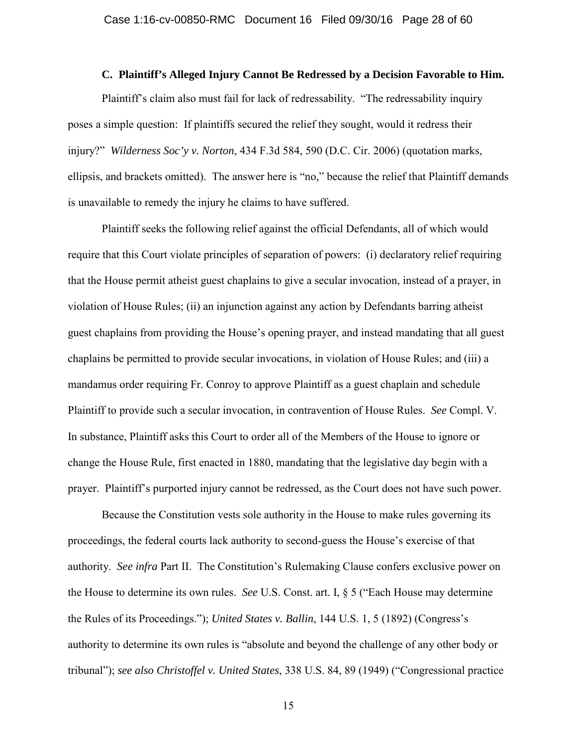#### **C. Plaintiff's Alleged Injury Cannot Be Redressed by a Decision Favorable to Him.**

Plaintiff's claim also must fail for lack of redressability. "The redressability inquiry poses a simple question: If plaintiffs secured the relief they sought, would it redress their injury?" *Wilderness Soc'y v. Norton*, 434 F.3d 584, 590 (D.C. Cir. 2006) (quotation marks, ellipsis, and brackets omitted). The answer here is "no," because the relief that Plaintiff demands is unavailable to remedy the injury he claims to have suffered.

Plaintiff seeks the following relief against the official Defendants, all of which would require that this Court violate principles of separation of powers: (i) declaratory relief requiring that the House permit atheist guest chaplains to give a secular invocation, instead of a prayer, in violation of House Rules; (ii) an injunction against any action by Defendants barring atheist guest chaplains from providing the House's opening prayer, and instead mandating that all guest chaplains be permitted to provide secular invocations, in violation of House Rules; and (iii) a mandamus order requiring Fr. Conroy to approve Plaintiff as a guest chaplain and schedule Plaintiff to provide such a secular invocation, in contravention of House Rules. *See* Compl. V. In substance, Plaintiff asks this Court to order all of the Members of the House to ignore or change the House Rule, first enacted in 1880, mandating that the legislative day begin with a prayer. Plaintiff's purported injury cannot be redressed, as the Court does not have such power.

 Because the Constitution vests sole authority in the House to make rules governing its proceedings, the federal courts lack authority to second-guess the House's exercise of that authority. *See infra* Part II. The Constitution's Rulemaking Clause confers exclusive power on the House to determine its own rules. *See* U.S. Const. art. I, § 5 ("Each House may determine the Rules of its Proceedings."); *United States v. Ballin*, 144 U.S. 1, 5 (1892) (Congress's authority to determine its own rules is "absolute and beyond the challenge of any other body or tribunal"); *see also Christoffel v. United States*, 338 U.S. 84, 89 (1949) ("Congressional practice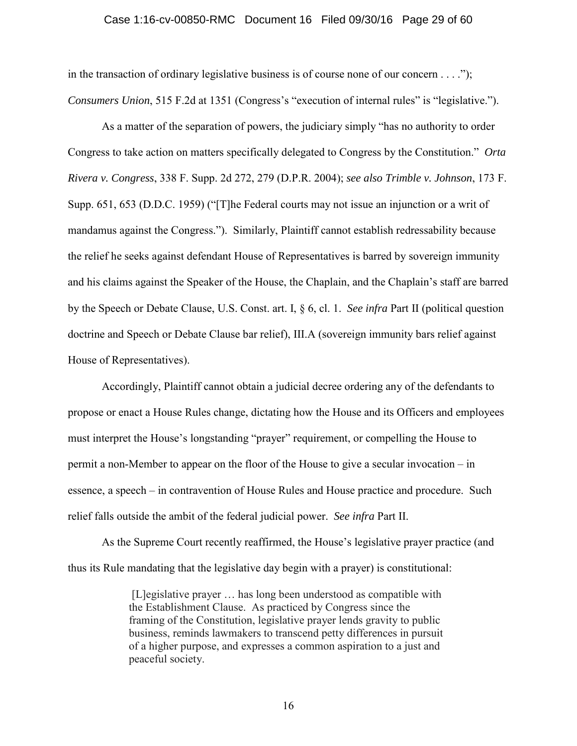#### Case 1:16-cv-00850-RMC Document 16 Filed 09/30/16 Page 29 of 60

in the transaction of ordinary legislative business is of course none of our concern  $\dots$ ..."); *Consumers Union*, 515 F.2d at 1351 (Congress's "execution of internal rules" is "legislative.").

 As a matter of the separation of powers, the judiciary simply "has no authority to order Congress to take action on matters specifically delegated to Congress by the Constitution." *Orta Rivera v. Congress*, 338 F. Supp. 2d 272, 279 (D.P.R. 2004); *see also Trimble v. Johnson*, 173 F. Supp. 651, 653 (D.D.C. 1959) ("[T]he Federal courts may not issue an injunction or a writ of mandamus against the Congress."). Similarly, Plaintiff cannot establish redressability because the relief he seeks against defendant House of Representatives is barred by sovereign immunity and his claims against the Speaker of the House, the Chaplain, and the Chaplain's staff are barred by the Speech or Debate Clause, U.S. Const. art. I, § 6, cl. 1. *See infra* Part II (political question doctrine and Speech or Debate Clause bar relief), III.A (sovereign immunity bars relief against House of Representatives).

 Accordingly, Plaintiff cannot obtain a judicial decree ordering any of the defendants to propose or enact a House Rules change, dictating how the House and its Officers and employees must interpret the House's longstanding "prayer" requirement, or compelling the House to permit a non-Member to appear on the floor of the House to give a secular invocation – in essence, a speech – in contravention of House Rules and House practice and procedure. Such relief falls outside the ambit of the federal judicial power. *See infra* Part II.

 As the Supreme Court recently reaffirmed, the House's legislative prayer practice (and thus its Rule mandating that the legislative day begin with a prayer) is constitutional:

> [L]egislative prayer … has long been understood as compatible with the Establishment Clause. As practiced by Congress since the framing of the Constitution, legislative prayer lends gravity to public business, reminds lawmakers to transcend petty differences in pursuit of a higher purpose, and expresses a common aspiration to a just and peaceful society.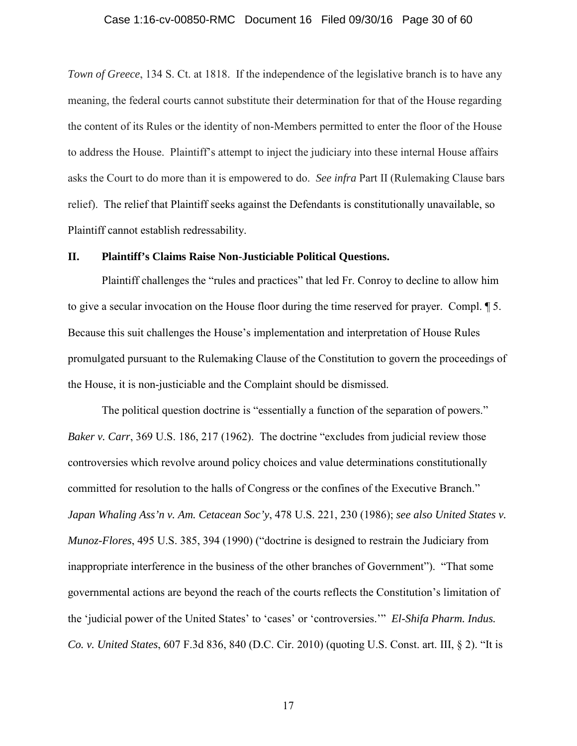#### Case 1:16-cv-00850-RMC Document 16 Filed 09/30/16 Page 30 of 60

*Town of Greece*, 134 S. Ct. at 1818. If the independence of the legislative branch is to have any meaning, the federal courts cannot substitute their determination for that of the House regarding the content of its Rules or the identity of non-Members permitted to enter the floor of the House to address the House. Plaintiff's attempt to inject the judiciary into these internal House affairs asks the Court to do more than it is empowered to do. *See infra* Part II (Rulemaking Clause bars relief). The relief that Plaintiff seeks against the Defendants is constitutionally unavailable, so Plaintiff cannot establish redressability.

## **II. Plaintiff's Claims Raise Non-Justiciable Political Questions.**

Plaintiff challenges the "rules and practices" that led Fr. Conroy to decline to allow him to give a secular invocation on the House floor during the time reserved for prayer. Compl. ¶ 5. Because this suit challenges the House's implementation and interpretation of House Rules promulgated pursuant to the Rulemaking Clause of the Constitution to govern the proceedings of the House, it is non-justiciable and the Complaint should be dismissed.

The political question doctrine is "essentially a function of the separation of powers." *Baker v. Carr*, 369 U.S. 186, 217 (1962). The doctrine "excludes from judicial review those controversies which revolve around policy choices and value determinations constitutionally committed for resolution to the halls of Congress or the confines of the Executive Branch." *Japan Whaling Ass'n v. Am. Cetacean Soc'y*, 478 U.S. 221, 230 (1986); *see also United States v. Munoz-Flores*, 495 U.S. 385, 394 (1990) ("doctrine is designed to restrain the Judiciary from inappropriate interference in the business of the other branches of Government"). "That some governmental actions are beyond the reach of the courts reflects the Constitution's limitation of the 'judicial power of the United States' to 'cases' or 'controversies.'" *El-Shifa Pharm. Indus. Co. v. United States*, 607 F.3d 836, 840 (D.C. Cir. 2010) (quoting U.S. Const. art. III, § 2). "It is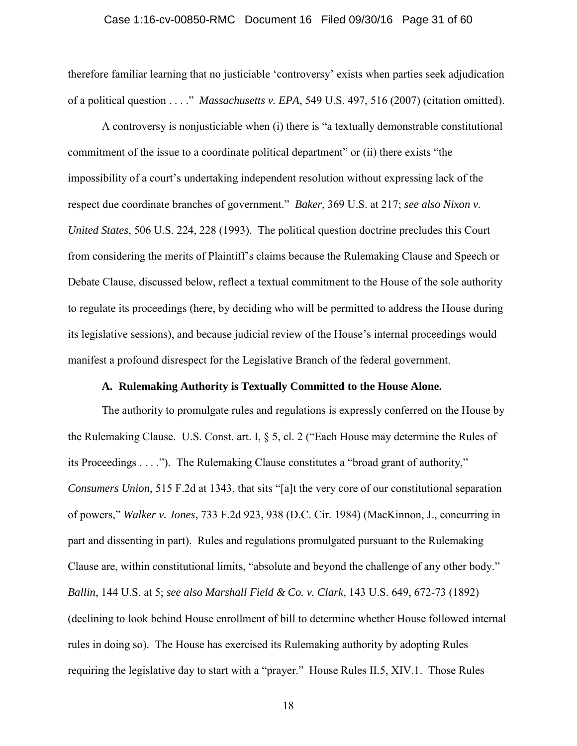#### Case 1:16-cv-00850-RMC Document 16 Filed 09/30/16 Page 31 of 60

therefore familiar learning that no justiciable 'controversy' exists when parties seek adjudication of a political question . . . ." *Massachusetts v. EPA*, 549 U.S. 497, 516 (2007) (citation omitted).

A controversy is nonjusticiable when (i) there is "a textually demonstrable constitutional commitment of the issue to a coordinate political department" or (ii) there exists "the impossibility of a court's undertaking independent resolution without expressing lack of the respect due coordinate branches of government." *Baker*, 369 U.S. at 217; *see also Nixon v. United States*, 506 U.S. 224, 228 (1993). The political question doctrine precludes this Court from considering the merits of Plaintiff's claims because the Rulemaking Clause and Speech or Debate Clause, discussed below, reflect a textual commitment to the House of the sole authority to regulate its proceedings (here, by deciding who will be permitted to address the House during its legislative sessions), and because judicial review of the House's internal proceedings would manifest a profound disrespect for the Legislative Branch of the federal government.

## **A. Rulemaking Authority is Textually Committed to the House Alone.**

The authority to promulgate rules and regulations is expressly conferred on the House by the Rulemaking Clause. U.S. Const. art. I, § 5, cl. 2 ("Each House may determine the Rules of its Proceedings . . . ."). The Rulemaking Clause constitutes a "broad grant of authority," *Consumers Union*, 515 F.2d at 1343, that sits "[a]t the very core of our constitutional separation of powers," *Walker v. Jones*, 733 F.2d 923, 938 (D.C. Cir. 1984) (MacKinnon, J., concurring in part and dissenting in part). Rules and regulations promulgated pursuant to the Rulemaking Clause are, within constitutional limits, "absolute and beyond the challenge of any other body." *Ballin*, 144 U.S. at 5; *see also Marshall Field & Co. v. Clark*, 143 U.S. 649, 672-73 (1892) (declining to look behind House enrollment of bill to determine whether House followed internal rules in doing so). The House has exercised its Rulemaking authority by adopting Rules requiring the legislative day to start with a "prayer." House Rules II.5, XIV.1. Those Rules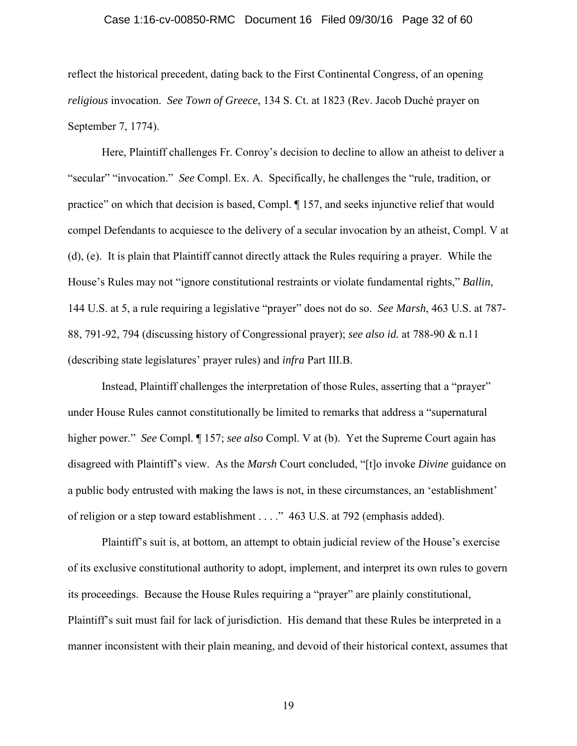#### Case 1:16-cv-00850-RMC Document 16 Filed 09/30/16 Page 32 of 60

reflect the historical precedent, dating back to the First Continental Congress, of an opening *religious* invocation. *See Town of Greece*, 134 S. Ct. at 1823 (Rev. Jacob Duché prayer on September 7, 1774).

Here, Plaintiff challenges Fr. Conroy's decision to decline to allow an atheist to deliver a "secular" "invocation." *See* Compl. Ex. A. Specifically, he challenges the "rule, tradition, or practice" on which that decision is based, Compl. ¶ 157, and seeks injunctive relief that would compel Defendants to acquiesce to the delivery of a secular invocation by an atheist, Compl. V at (d), (e). It is plain that Plaintiff cannot directly attack the Rules requiring a prayer. While the House's Rules may not "ignore constitutional restraints or violate fundamental rights," *Ballin*, 144 U.S. at 5, a rule requiring a legislative "prayer" does not do so. *See Marsh*, 463 U.S. at 787- 88, 791-92, 794 (discussing history of Congressional prayer); *see also id.* at 788-90 & n.11 (describing state legislatures' prayer rules) and *infra* Part III.B.

Instead, Plaintiff challenges the interpretation of those Rules, asserting that a "prayer" under House Rules cannot constitutionally be limited to remarks that address a "supernatural higher power." *See* Compl. ¶ 157; *see also* Compl. V at (b). Yet the Supreme Court again has disagreed with Plaintiff's view. As the *Marsh* Court concluded, "[t]o invoke *Divine* guidance on a public body entrusted with making the laws is not, in these circumstances, an 'establishment' of religion or a step toward establishment . . . ." 463 U.S. at 792 (emphasis added).

Plaintiff's suit is, at bottom, an attempt to obtain judicial review of the House's exercise of its exclusive constitutional authority to adopt, implement, and interpret its own rules to govern its proceedings. Because the House Rules requiring a "prayer" are plainly constitutional, Plaintiff's suit must fail for lack of jurisdiction. His demand that these Rules be interpreted in a manner inconsistent with their plain meaning, and devoid of their historical context, assumes that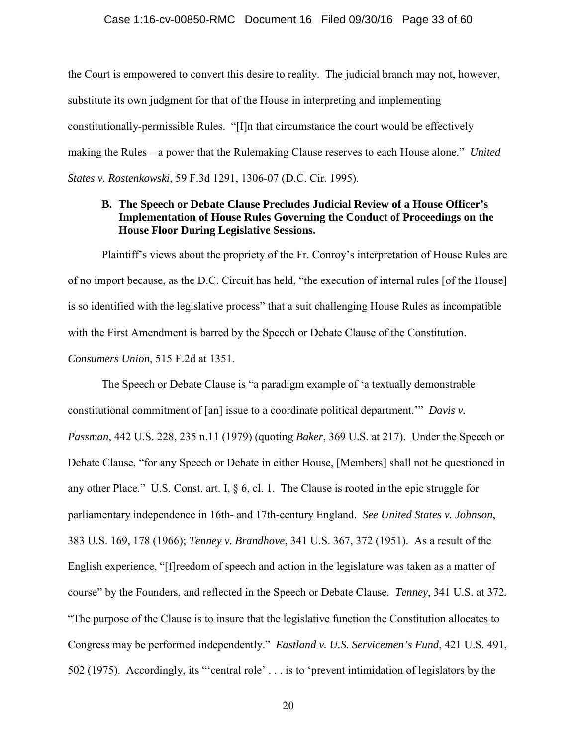#### Case 1:16-cv-00850-RMC Document 16 Filed 09/30/16 Page 33 of 60

the Court is empowered to convert this desire to reality. The judicial branch may not, however, substitute its own judgment for that of the House in interpreting and implementing constitutionally-permissible Rules. "[I]n that circumstance the court would be effectively making the Rules – a power that the Rulemaking Clause reserves to each House alone." *United States v. Rostenkowski*, 59 F.3d 1291, 1306-07 (D.C. Cir. 1995).

## **B. The Speech or Debate Clause Precludes Judicial Review of a House Officer's Implementation of House Rules Governing the Conduct of Proceedings on the House Floor During Legislative Sessions.**

Plaintiff's views about the propriety of the Fr. Conroy's interpretation of House Rules are of no import because, as the D.C. Circuit has held, "the execution of internal rules [of the House] is so identified with the legislative process" that a suit challenging House Rules as incompatible with the First Amendment is barred by the Speech or Debate Clause of the Constitution. *Consumers Union*, 515 F.2d at 1351.

The Speech or Debate Clause is "a paradigm example of 'a textually demonstrable constitutional commitment of [an] issue to a coordinate political department.'" *Davis v. Passman*, 442 U.S. 228, 235 n.11 (1979) (quoting *Baker*, 369 U.S. at 217). Under the Speech or Debate Clause, "for any Speech or Debate in either House, [Members] shall not be questioned in any other Place." U.S. Const. art. I, § 6, cl. 1. The Clause is rooted in the epic struggle for parliamentary independence in 16th- and 17th-century England. *See United States v. Johnson*, 383 U.S. 169, 178 (1966); *Tenney v. Brandhove*, 341 U.S. 367, 372 (1951). As a result of the English experience, "[f]reedom of speech and action in the legislature was taken as a matter of course" by the Founders, and reflected in the Speech or Debate Clause. *Tenney*, 341 U.S. at 372*.* "The purpose of the Clause is to insure that the legislative function the Constitution allocates to Congress may be performed independently." *Eastland v. U.S. Servicemen's Fund*, 421 U.S. 491, 502 (1975). Accordingly, its "'central role' . . . is to 'prevent intimidation of legislators by the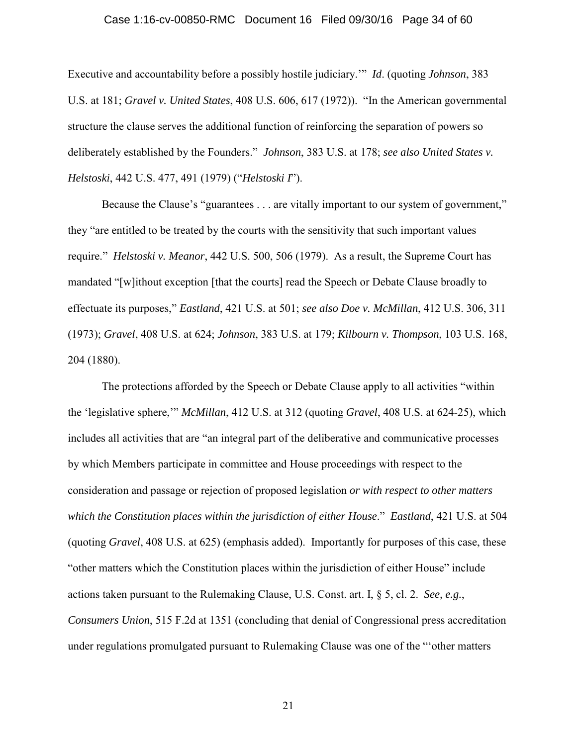#### Case 1:16-cv-00850-RMC Document 16 Filed 09/30/16 Page 34 of 60

Executive and accountability before a possibly hostile judiciary.'" *Id*. (quoting *Johnson*, 383 U.S. at 181; *Gravel v. United States*, 408 U.S. 606, 617 (1972)). "In the American governmental structure the clause serves the additional function of reinforcing the separation of powers so deliberately established by the Founders." *Johnson*, 383 U.S. at 178; *see also United States v. Helstoski*, 442 U.S. 477, 491 (1979) ("*Helstoski I*").

Because the Clause's "guarantees . . . are vitally important to our system of government," they "are entitled to be treated by the courts with the sensitivity that such important values require." *Helstoski v. Meanor*, 442 U.S. 500, 506 (1979). As a result, the Supreme Court has mandated "[w]ithout exception [that the courts] read the Speech or Debate Clause broadly to effectuate its purposes," *Eastland*, 421 U.S. at 501; *see also Doe v. McMillan*, 412 U.S. 306, 311 (1973); *Gravel*, 408 U.S. at 624; *Johnson*, 383 U.S. at 179; *Kilbourn v. Thompson*, 103 U.S. 168, 204 (1880).

The protections afforded by the Speech or Debate Clause apply to all activities "within the 'legislative sphere,'" *McMillan*, 412 U.S. at 312 (quoting *Gravel*, 408 U.S. at 624-25), which includes all activities that are "an integral part of the deliberative and communicative processes by which Members participate in committee and House proceedings with respect to the consideration and passage or rejection of proposed legislation *or with respect to other matters which the Constitution places within the jurisdiction of either House*." *Eastland*, 421 U.S. at 504 (quoting *Gravel*, 408 U.S. at 625) (emphasis added). Importantly for purposes of this case, these "other matters which the Constitution places within the jurisdiction of either House" include actions taken pursuant to the Rulemaking Clause, U.S. Const. art. I, § 5, cl. 2. *See, e.g.*, *Consumers Union*, 515 F.2d at 1351 (concluding that denial of Congressional press accreditation under regulations promulgated pursuant to Rulemaking Clause was one of the "'other matters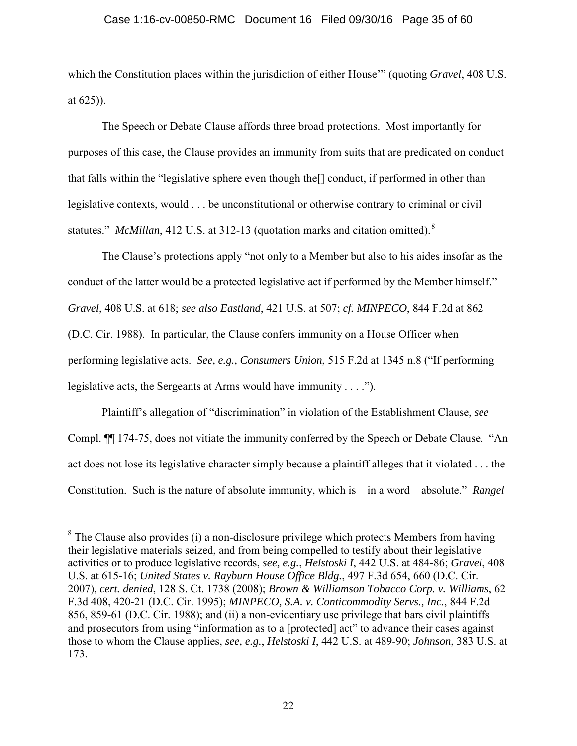#### Case 1:16-cv-00850-RMC Document 16 Filed 09/30/16 Page 35 of 60

which the Constitution places within the jurisdiction of either House'" (quoting *Gravel*, 408 U.S. at 625)).

The Speech or Debate Clause affords three broad protections. Most importantly for purposes of this case, the Clause provides an immunity from suits that are predicated on conduct that falls within the "legislative sphere even though the[] conduct, if performed in other than legislative contexts, would . . . be unconstitutional or otherwise contrary to criminal or civil statutes." *McMillan*, 412 U.S. at 312-13 (quotation marks and citation omitted).<sup>8</sup>

The Clause's protections apply "not only to a Member but also to his aides insofar as the conduct of the latter would be a protected legislative act if performed by the Member himself." *Gravel*, 408 U.S. at 618; *see also Eastland*, 421 U.S. at 507; *cf. MINPECO*, 844 F.2d at 862 (D.C. Cir. 1988). In particular, the Clause confers immunity on a House Officer when performing legislative acts. *See, e.g., Consumers Union*, 515 F.2d at 1345 n.8 ("If performing legislative acts, the Sergeants at Arms would have immunity . . . .").

Plaintiff's allegation of "discrimination" in violation of the Establishment Clause, *see*  Compl. ¶¶ 174-75, does not vitiate the immunity conferred by the Speech or Debate Clause. "An act does not lose its legislative character simply because a plaintiff alleges that it violated . . . the Constitution. Such is the nature of absolute immunity, which is – in a word – absolute." *Rangel* 

 $8$  The Clause also provides (i) a non-disclosure privilege which protects Members from having their legislative materials seized, and from being compelled to testify about their legislative activities or to produce legislative records, *see, e.g.*, *Helstoski I*, 442 U.S. at 484-86; *Gravel*, 408 U.S. at 615-16; *United States v. Rayburn House Office Bldg.*, 497 F.3d 654, 660 (D.C. Cir. 2007), *cert. denied*, 128 S. Ct. 1738 (2008); *Brown & Williamson Tobacco Corp. v. Williams*, 62 F.3d 408, 420-21 (D.C. Cir. 1995); *MINPECO, S.A. v. Conticommodity Servs., Inc.*, 844 F.2d 856, 859-61 (D.C. Cir. 1988); and (ii) a non-evidentiary use privilege that bars civil plaintiffs and prosecutors from using "information as to a [protected] act" to advance their cases against those to whom the Clause applies, *see, e.g.*, *Helstoski I*, 442 U.S. at 489-90; *Johnson*, 383 U.S. at 173.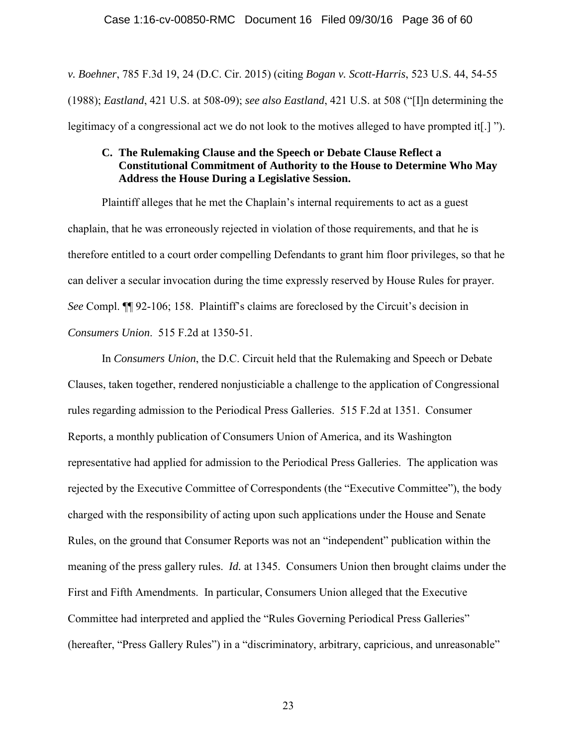*v. Boehner*, 785 F.3d 19, 24 (D.C. Cir. 2015) (citing *Bogan v. Scott-Harris*, 523 U.S. 44, 54-55 (1988); *Eastland*, 421 U.S. at 508-09); *see also Eastland*, 421 U.S. at 508 ("[I]n determining the legitimacy of a congressional act we do not look to the motives alleged to have prompted it. [1] ").

## **C. The Rulemaking Clause and the Speech or Debate Clause Reflect a Constitutional Commitment of Authority to the House to Determine Who May Address the House During a Legislative Session.**

Plaintiff alleges that he met the Chaplain's internal requirements to act as a guest chaplain, that he was erroneously rejected in violation of those requirements, and that he is therefore entitled to a court order compelling Defendants to grant him floor privileges, so that he can deliver a secular invocation during the time expressly reserved by House Rules for prayer. *See* Compl. ¶¶ 92-106; 158. Plaintiff's claims are foreclosed by the Circuit's decision in *Consumers Union*. 515 F.2d at 1350-51.

In *Consumers Union*, the D.C. Circuit held that the Rulemaking and Speech or Debate Clauses, taken together, rendered nonjusticiable a challenge to the application of Congressional rules regarding admission to the Periodical Press Galleries. 515 F.2d at 1351. Consumer Reports, a monthly publication of Consumers Union of America, and its Washington representative had applied for admission to the Periodical Press Galleries. The application was rejected by the Executive Committee of Correspondents (the "Executive Committee"), the body charged with the responsibility of acting upon such applications under the House and Senate Rules, on the ground that Consumer Reports was not an "independent" publication within the meaning of the press gallery rules. *Id.* at 1345. Consumers Union then brought claims under the First and Fifth Amendments. In particular, Consumers Union alleged that the Executive Committee had interpreted and applied the "Rules Governing Periodical Press Galleries" (hereafter, "Press Gallery Rules") in a "discriminatory, arbitrary, capricious, and unreasonable"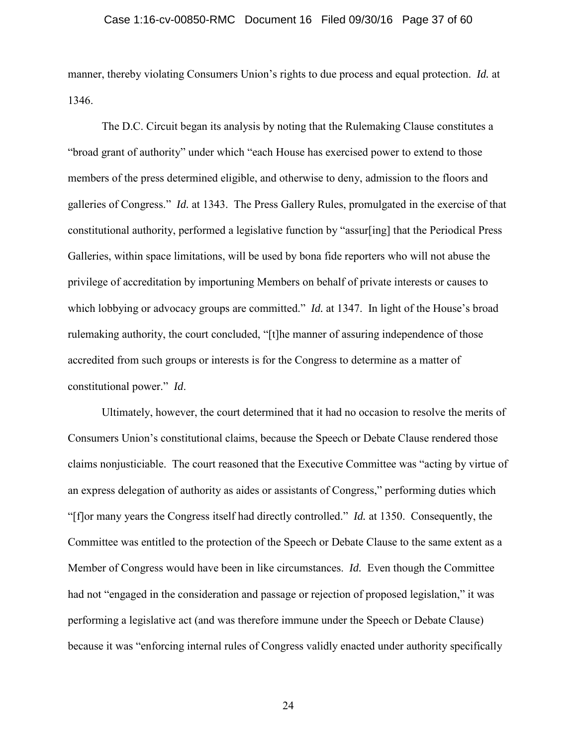#### Case 1:16-cv-00850-RMC Document 16 Filed 09/30/16 Page 37 of 60

manner, thereby violating Consumers Union's rights to due process and equal protection. *Id.* at 1346.

The D.C. Circuit began its analysis by noting that the Rulemaking Clause constitutes a "broad grant of authority" under which "each House has exercised power to extend to those members of the press determined eligible, and otherwise to deny, admission to the floors and galleries of Congress." *Id.* at 1343. The Press Gallery Rules, promulgated in the exercise of that constitutional authority, performed a legislative function by "assur[ing] that the Periodical Press Galleries, within space limitations, will be used by bona fide reporters who will not abuse the privilege of accreditation by importuning Members on behalf of private interests or causes to which lobbying or advocacy groups are committed." *Id.* at 1347. In light of the House's broad rulemaking authority, the court concluded, "[t]he manner of assuring independence of those accredited from such groups or interests is for the Congress to determine as a matter of constitutional power." *Id*.

Ultimately, however, the court determined that it had no occasion to resolve the merits of Consumers Union's constitutional claims, because the Speech or Debate Clause rendered those claims nonjusticiable. The court reasoned that the Executive Committee was "acting by virtue of an express delegation of authority as aides or assistants of Congress," performing duties which "[f]or many years the Congress itself had directly controlled." *Id.* at 1350. Consequently, the Committee was entitled to the protection of the Speech or Debate Clause to the same extent as a Member of Congress would have been in like circumstances. *Id.* Even though the Committee had not "engaged in the consideration and passage or rejection of proposed legislation," it was performing a legislative act (and was therefore immune under the Speech or Debate Clause) because it was "enforcing internal rules of Congress validly enacted under authority specifically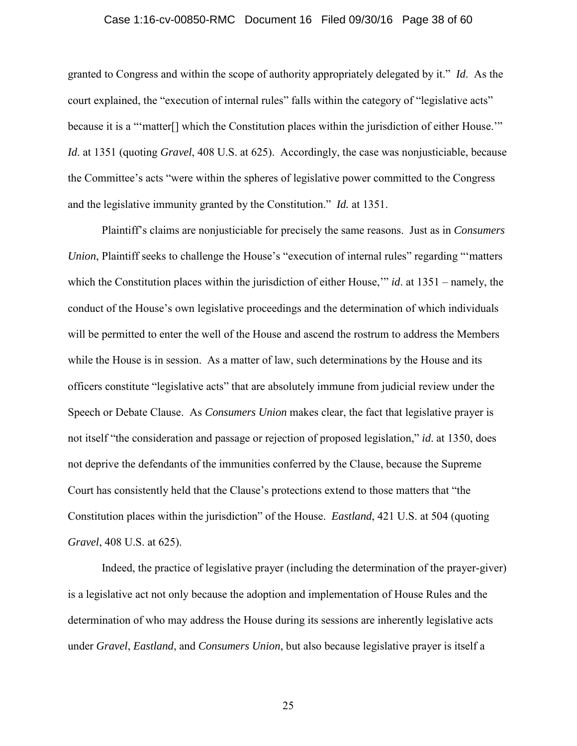#### Case 1:16-cv-00850-RMC Document 16 Filed 09/30/16 Page 38 of 60

granted to Congress and within the scope of authority appropriately delegated by it." *Id*. As the court explained, the "execution of internal rules" falls within the category of "legislative acts" because it is a "'matter[] which the Constitution places within the jurisdiction of either House.'" *Id*. at 1351 (quoting *Gravel*, 408 U.S. at 625). Accordingly, the case was nonjusticiable, because the Committee's acts "were within the spheres of legislative power committed to the Congress and the legislative immunity granted by the Constitution." *Id.* at 1351.

Plaintiff's claims are nonjusticiable for precisely the same reasons. Just as in *Consumers Union*, Plaintiff seeks to challenge the House's "execution of internal rules" regarding "'matters" which the Constitution places within the jurisdiction of either House,'" *id*. at 1351 – namely, the conduct of the House's own legislative proceedings and the determination of which individuals will be permitted to enter the well of the House and ascend the rostrum to address the Members while the House is in session. As a matter of law, such determinations by the House and its officers constitute "legislative acts" that are absolutely immune from judicial review under the Speech or Debate Clause. As *Consumers Union* makes clear, the fact that legislative prayer is not itself "the consideration and passage or rejection of proposed legislation," *id*. at 1350, does not deprive the defendants of the immunities conferred by the Clause, because the Supreme Court has consistently held that the Clause's protections extend to those matters that "the Constitution places within the jurisdiction" of the House. *Eastland*, 421 U.S. at 504 (quoting *Gravel*, 408 U.S. at 625).

Indeed, the practice of legislative prayer (including the determination of the prayer-giver) is a legislative act not only because the adoption and implementation of House Rules and the determination of who may address the House during its sessions are inherently legislative acts under *Gravel*, *Eastland*, and *Consumers Union*, but also because legislative prayer is itself a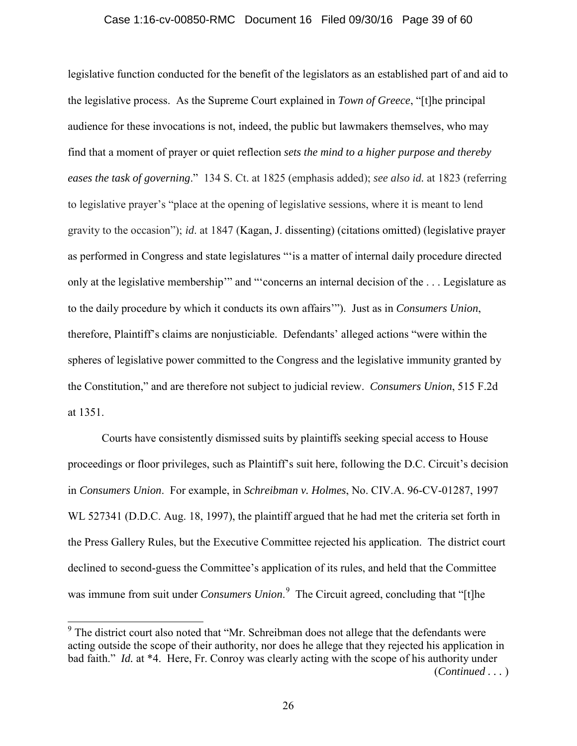#### Case 1:16-cv-00850-RMC Document 16 Filed 09/30/16 Page 39 of 60

legislative function conducted for the benefit of the legislators as an established part of and aid to the legislative process. As the Supreme Court explained in *Town of Greece*, "[t]he principal audience for these invocations is not, indeed, the public but lawmakers themselves, who may find that a moment of prayer or quiet reflection *sets the mind to a higher purpose and thereby eases the task of governing*." 134 S. Ct. at 1825 (emphasis added); *see also id.* at 1823 (referring to legislative prayer's "place at the opening of legislative sessions, where it is meant to lend gravity to the occasion"); *id*. at 1847 (Kagan, J. dissenting) (citations omitted) (legislative prayer as performed in Congress and state legislatures "'is a matter of internal daily procedure directed only at the legislative membership'" and "'concerns an internal decision of the . . . Legislature as to the daily procedure by which it conducts its own affairs'"). Just as in *Consumers Union*, therefore, Plaintiff's claims are nonjusticiable. Defendants' alleged actions "were within the spheres of legislative power committed to the Congress and the legislative immunity granted by the Constitution," and are therefore not subject to judicial review. *Consumers Union*, 515 F.2d at 1351.

Courts have consistently dismissed suits by plaintiffs seeking special access to House proceedings or floor privileges, such as Plaintiff's suit here, following the D.C. Circuit's decision in *Consumers Union*. For example, in *Schreibman v. Holmes*, No. CIV.A. 96-CV-01287, 1997 WL 527341 (D.D.C. Aug. 18, 1997), the plaintiff argued that he had met the criteria set forth in the Press Gallery Rules, but the Executive Committee rejected his application. The district court declined to second-guess the Committee's application of its rules, and held that the Committee was immune from suit under *Consumers Union*. 9 The Circuit agreed, concluding that "[t]he

<sup>&</sup>lt;sup>9</sup> The district court also noted that "Mr. Schreibman does not allege that the defendants were acting outside the scope of their authority, nor does he allege that they rejected his application in bad faith." *Id.* at \*4. Here, Fr. Conroy was clearly acting with the scope of his authority under (*Continued . . .* )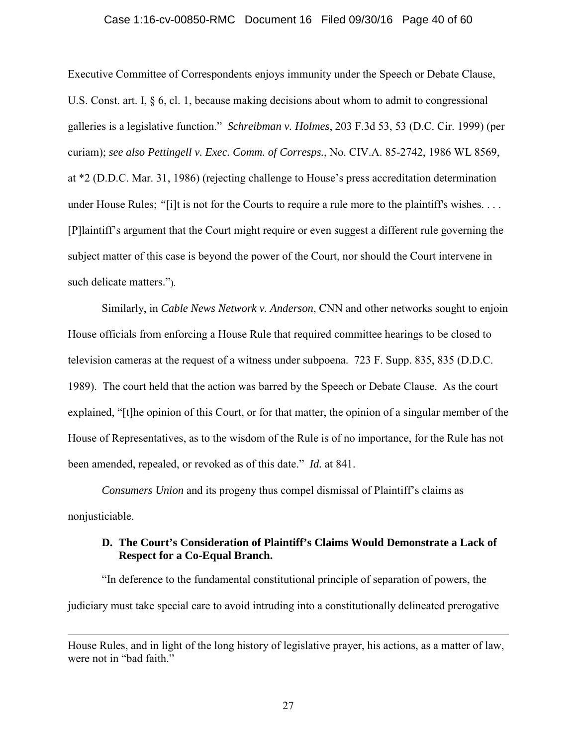#### Case 1:16-cv-00850-RMC Document 16 Filed 09/30/16 Page 40 of 60

Executive Committee of Correspondents enjoys immunity under the Speech or Debate Clause, U.S. Const. art. I, § 6, cl. 1, because making decisions about whom to admit to congressional galleries is a legislative function." *Schreibman v. Holmes*, 203 F.3d 53, 53 (D.C. Cir. 1999) (per curiam); *see also Pettingell v. Exec. Comm. of Corresps.*, No. CIV.A. 85-2742, 1986 WL 8569, at \*2 (D.D.C. Mar. 31, 1986) (rejecting challenge to House's press accreditation determination under House Rules; "[i]t is not for the Courts to require a rule more to the plaintiff's wishes. . . . [P]laintiff's argument that the Court might require or even suggest a different rule governing the subject matter of this case is beyond the power of the Court, nor should the Court intervene in such delicate matters.").

Similarly, in *Cable News Network v. Anderson*, CNN and other networks sought to enjoin House officials from enforcing a House Rule that required committee hearings to be closed to television cameras at the request of a witness under subpoena. 723 F. Supp. 835, 835 (D.D.C. 1989). The court held that the action was barred by the Speech or Debate Clause. As the court explained, "[t]he opinion of this Court, or for that matter, the opinion of a singular member of the House of Representatives, as to the wisdom of the Rule is of no importance, for the Rule has not been amended, repealed, or revoked as of this date." *Id.* at 841.

*Consumers Union* and its progeny thus compel dismissal of Plaintiff's claims as nonjusticiable.

## **D. The Court's Consideration of Plaintiff's Claims Would Demonstrate a Lack of Respect for a Co-Equal Branch.**

"In deference to the fundamental constitutional principle of separation of powers, the judiciary must take special care to avoid intruding into a constitutionally delineated prerogative

House Rules, and in light of the long history of legislative prayer, his actions, as a matter of law, were not in "bad faith."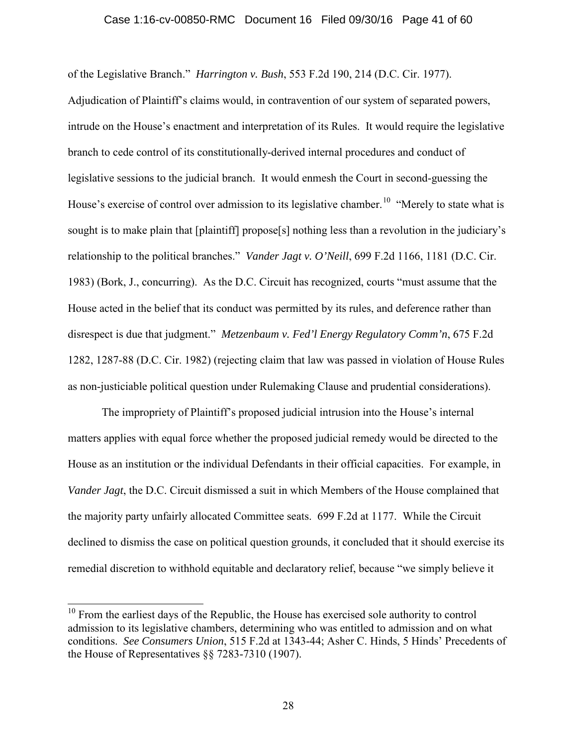#### Case 1:16-cv-00850-RMC Document 16 Filed 09/30/16 Page 41 of 60

of the Legislative Branch." *Harrington v. Bush*, 553 F.2d 190, 214 (D.C. Cir. 1977).

Adjudication of Plaintiff's claims would, in contravention of our system of separated powers, intrude on the House's enactment and interpretation of its Rules. It would require the legislative branch to cede control of its constitutionally-derived internal procedures and conduct of legislative sessions to the judicial branch. It would enmesh the Court in second-guessing the House's exercise of control over admission to its legislative chamber.<sup>10</sup> "Merely to state what is sought is to make plain that [plaintiff] propose[s] nothing less than a revolution in the judiciary's relationship to the political branches." *Vander Jagt v. O'Neill*, 699 F.2d 1166, 1181 (D.C. Cir. 1983) (Bork, J., concurring). As the D.C. Circuit has recognized, courts "must assume that the House acted in the belief that its conduct was permitted by its rules, and deference rather than disrespect is due that judgment." *Metzenbaum v. Fed'l Energy Regulatory Comm'n*, 675 F.2d 1282, 1287-88 (D.C. Cir. 1982) (rejecting claim that law was passed in violation of House Rules as non-justiciable political question under Rulemaking Clause and prudential considerations).

The impropriety of Plaintiff's proposed judicial intrusion into the House's internal matters applies with equal force whether the proposed judicial remedy would be directed to the House as an institution or the individual Defendants in their official capacities. For example, in *Vander Jagt*, the D.C. Circuit dismissed a suit in which Members of the House complained that the majority party unfairly allocated Committee seats. 699 F.2d at 1177. While the Circuit declined to dismiss the case on political question grounds, it concluded that it should exercise its remedial discretion to withhold equitable and declaratory relief, because "we simply believe it

 $10$  From the earliest days of the Republic, the House has exercised sole authority to control admission to its legislative chambers, determining who was entitled to admission and on what conditions. *See Consumers Union*, 515 F.2d at 1343-44; Asher C. Hinds, 5 Hinds' Precedents of the House of Representatives §§ 7283-7310 (1907).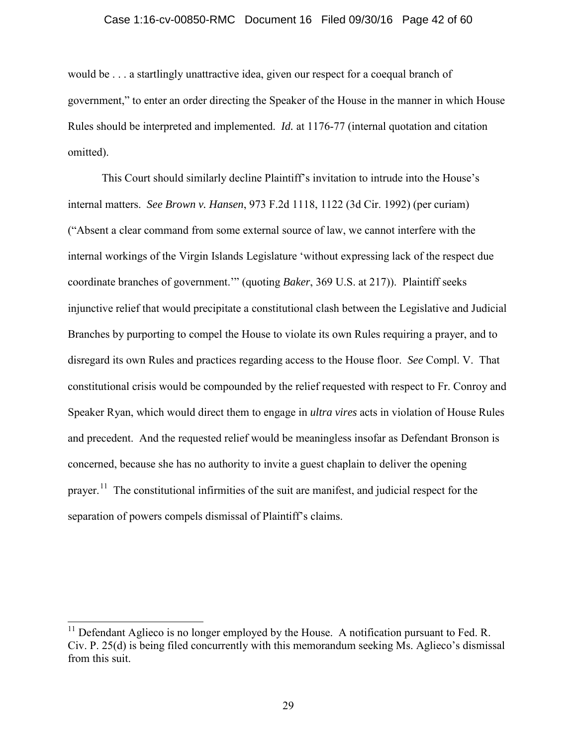#### Case 1:16-cv-00850-RMC Document 16 Filed 09/30/16 Page 42 of 60

would be . . . a startlingly unattractive idea, given our respect for a coequal branch of government," to enter an order directing the Speaker of the House in the manner in which House Rules should be interpreted and implemented. *Id.* at 1176-77 (internal quotation and citation omitted).

This Court should similarly decline Plaintiff's invitation to intrude into the House's internal matters. *See Brown v. Hansen*, 973 F.2d 1118, 1122 (3d Cir. 1992) (per curiam) ("Absent a clear command from some external source of law, we cannot interfere with the internal workings of the Virgin Islands Legislature 'without expressing lack of the respect due coordinate branches of government.'" (quoting *Baker*, 369 U.S. at 217)). Plaintiff seeks injunctive relief that would precipitate a constitutional clash between the Legislative and Judicial Branches by purporting to compel the House to violate its own Rules requiring a prayer, and to disregard its own Rules and practices regarding access to the House floor. *See* Compl. V. That constitutional crisis would be compounded by the relief requested with respect to Fr. Conroy and Speaker Ryan, which would direct them to engage in *ultra vires* acts in violation of House Rules and precedent. And the requested relief would be meaningless insofar as Defendant Bronson is concerned, because she has no authority to invite a guest chaplain to deliver the opening prayer.<sup>11</sup> The constitutional infirmities of the suit are manifest, and judicial respect for the separation of powers compels dismissal of Plaintiff's claims.

Defendant Aglieco is no longer employed by the House. A notification pursuant to Fed. R. Civ. P. 25(d) is being filed concurrently with this memorandum seeking Ms. Aglieco's dismissal from this suit.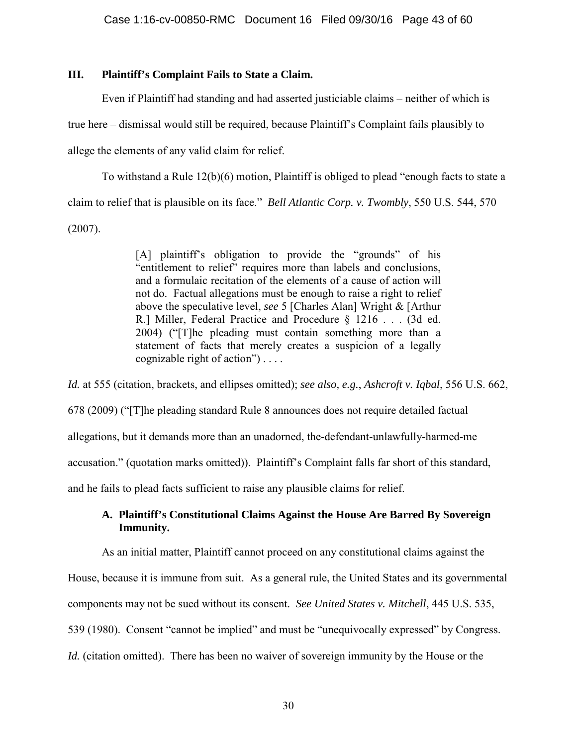## **III. Plaintiff's Complaint Fails to State a Claim.**

Even if Plaintiff had standing and had asserted justiciable claims – neither of which is true here – dismissal would still be required, because Plaintiff's Complaint fails plausibly to allege the elements of any valid claim for relief.

To withstand a Rule 12(b)(6) motion, Plaintiff is obliged to plead "enough facts to state a claim to relief that is plausible on its face." *Bell Atlantic Corp. v. Twombly*, 550 U.S. 544, 570 (2007).

> [A] plaintiff's obligation to provide the "grounds" of his "entitlement to relief" requires more than labels and conclusions, and a formulaic recitation of the elements of a cause of action will not do. Factual allegations must be enough to raise a right to relief above the speculative level, *see* 5 [Charles Alan] Wright & [Arthur R.] Miller, Federal Practice and Procedure § 1216 . . . (3d ed. 2004) ("[T]he pleading must contain something more than a statement of facts that merely creates a suspicion of a legally cognizable right of action") . . . .

*Id.* at 555 (citation, brackets, and ellipses omitted); *see also, e.g.*, *Ashcroft v. Iqbal*, 556 U.S. 662, 678 (2009) ("[T]he pleading standard Rule 8 announces does not require detailed factual allegations, but it demands more than an unadorned, the-defendant-unlawfully-harmed-me accusation." (quotation marks omitted)). Plaintiff's Complaint falls far short of this standard, and he fails to plead facts sufficient to raise any plausible claims for relief.

## **A. Plaintiff's Constitutional Claims Against the House Are Barred By Sovereign Immunity.**

As an initial matter, Plaintiff cannot proceed on any constitutional claims against the

House, because it is immune from suit. As a general rule, the United States and its governmental

components may not be sued without its consent. *See United States v. Mitchell*, 445 U.S. 535,

539 (1980). Consent "cannot be implied" and must be "unequivocally expressed" by Congress.

*Id.* (citation omitted). There has been no waiver of sovereign immunity by the House or the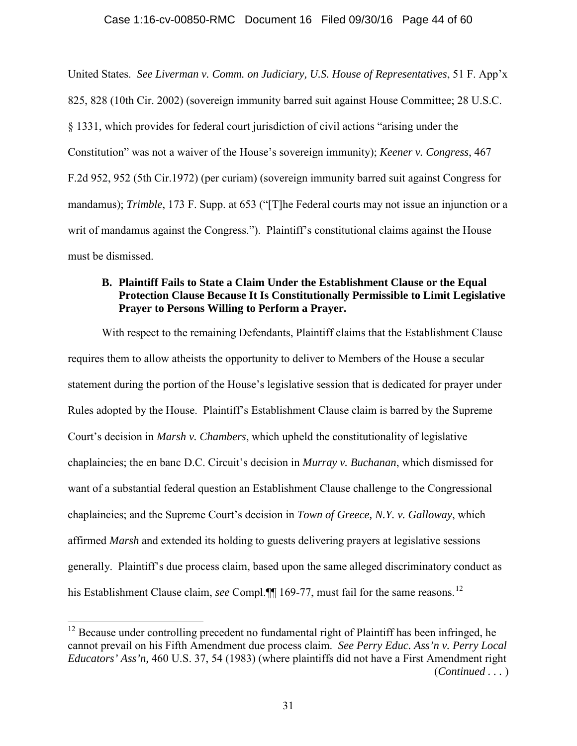#### Case 1:16-cv-00850-RMC Document 16 Filed 09/30/16 Page 44 of 60

United States. *See Liverman v. Comm. on Judiciary, U.S. House of Representatives*, 51 F. App'x 825, 828 (10th Cir. 2002) (sovereign immunity barred suit against House Committee; 28 U.S.C. § 1331, which provides for federal court jurisdiction of civil actions "arising under the Constitution" was not a waiver of the House's sovereign immunity); *Keener v. Congress*, 467 F.2d 952, 952 (5th Cir.1972) (per curiam) (sovereign immunity barred suit against Congress for mandamus); *Trimble*, 173 F. Supp. at 653 ("The Federal courts may not issue an injunction or a writ of mandamus against the Congress."). Plaintiff's constitutional claims against the House must be dismissed.

## **B. Plaintiff Fails to State a Claim Under the Establishment Clause or the Equal Protection Clause Because It Is Constitutionally Permissible to Limit Legislative Prayer to Persons Willing to Perform a Prayer.**

With respect to the remaining Defendants, Plaintiff claims that the Establishment Clause requires them to allow atheists the opportunity to deliver to Members of the House a secular statement during the portion of the House's legislative session that is dedicated for prayer under Rules adopted by the House. Plaintiff's Establishment Clause claim is barred by the Supreme Court's decision in *Marsh v. Chambers*, which upheld the constitutionality of legislative chaplaincies; the en banc D.C. Circuit's decision in *Murray v. Buchanan*, which dismissed for want of a substantial federal question an Establishment Clause challenge to the Congressional chaplaincies; and the Supreme Court's decision in *Town of Greece, N.Y. v. Galloway*, which affirmed *Marsh* and extended its holding to guests delivering prayers at legislative sessions generally. Plaintiff's due process claim, based upon the same alleged discriminatory conduct as his Establishment Clause claim, *see* Compl.<sup>[9]</sup> 169-77, must fail for the same reasons.<sup>12</sup>

 $12$  Because under controlling precedent no fundamental right of Plaintiff has been infringed, he cannot prevail on his Fifth Amendment due process claim. *See Perry Educ. Ass'n v. Perry Local Educators' Ass'n,* 460 U.S. 37, 54 (1983) (where plaintiffs did not have a First Amendment right (*Continued . . .* )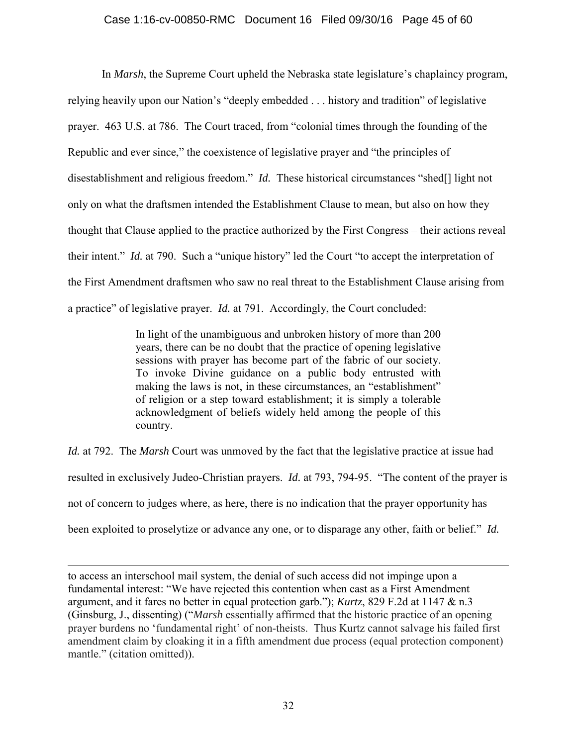## Case 1:16-cv-00850-RMC Document 16 Filed 09/30/16 Page 45 of 60

In *Marsh*, the Supreme Court upheld the Nebraska state legislature's chaplaincy program, relying heavily upon our Nation's "deeply embedded . . . history and tradition" of legislative prayer. 463 U.S. at 786. The Court traced, from "colonial times through the founding of the Republic and ever since," the coexistence of legislative prayer and "the principles of disestablishment and religious freedom." *Id.* These historical circumstances "shed[] light not only on what the draftsmen intended the Establishment Clause to mean, but also on how they thought that Clause applied to the practice authorized by the First Congress – their actions reveal their intent." *Id.* at 790. Such a "unique history" led the Court "to accept the interpretation of the First Amendment draftsmen who saw no real threat to the Establishment Clause arising from a practice" of legislative prayer. *Id.* at 791. Accordingly, the Court concluded:

> In light of the unambiguous and unbroken history of more than 200 years, there can be no doubt that the practice of opening legislative sessions with prayer has become part of the fabric of our society. To invoke Divine guidance on a public body entrusted with making the laws is not, in these circumstances, an "establishment" of religion or a step toward establishment; it is simply a tolerable acknowledgment of beliefs widely held among the people of this country.

*Id.* at 792. The *Marsh* Court was unmoved by the fact that the legislative practice at issue had resulted in exclusively Judeo-Christian prayers. *Id.* at 793, 794-95. "The content of the prayer is not of concern to judges where, as here, there is no indication that the prayer opportunity has been exploited to proselytize or advance any one, or to disparage any other, faith or belief." *Id.*

to access an interschool mail system, the denial of such access did not impinge upon a fundamental interest: "We have rejected this contention when cast as a First Amendment argument, and it fares no better in equal protection garb."); *Kurtz*, 829 F.2d at 1147 & n.3 (Ginsburg, J., dissenting) ("*Marsh* essentially affirmed that the historic practice of an opening prayer burdens no 'fundamental right' of non-theists. Thus Kurtz cannot salvage his failed first amendment claim by cloaking it in a fifth amendment due process (equal protection component) mantle." (citation omitted)).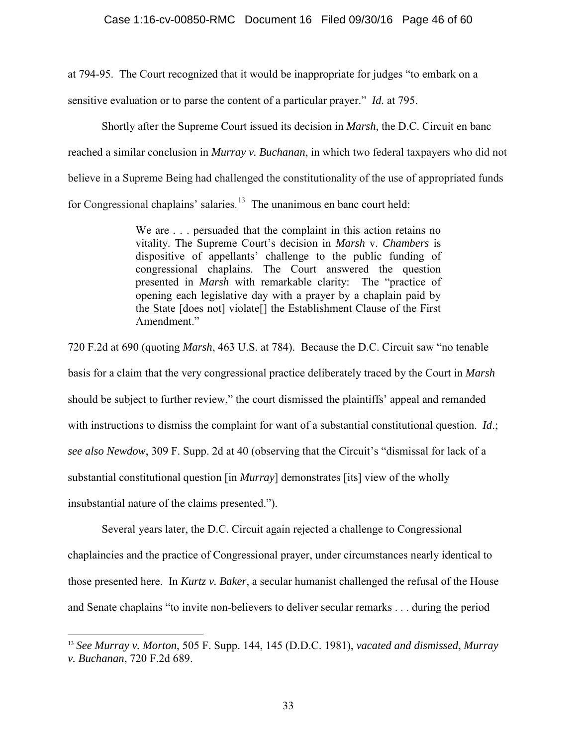at 794-95. The Court recognized that it would be inappropriate for judges "to embark on a sensitive evaluation or to parse the content of a particular prayer." *Id.* at 795.

Shortly after the Supreme Court issued its decision in *Marsh,* the D.C. Circuit en banc reached a similar conclusion in *Murray v. Buchanan*, in which two federal taxpayers who did not believe in a Supreme Being had challenged the constitutionality of the use of appropriated funds for Congressional chaplains' salaries.<sup>13</sup> The unanimous en banc court held:

> We are . . . persuaded that the complaint in this action retains no vitality. The Supreme Court's decision in *Marsh* v. *Chambers* is dispositive of appellants' challenge to the public funding of congressional chaplains. The Court answered the question presented in *Marsh* with remarkable clarity: The "practice of opening each legislative day with a prayer by a chaplain paid by the State [does not] violate[] the Establishment Clause of the First Amendment."

720 F.2d at 690 (quoting *Marsh*, 463 U.S. at 784). Because the D.C. Circuit saw "no tenable basis for a claim that the very congressional practice deliberately traced by the Court in *Marsh*  should be subject to further review," the court dismissed the plaintiffs' appeal and remanded with instructions to dismiss the complaint for want of a substantial constitutional question. *Id*.; *see also Newdow*, 309 F. Supp. 2d at 40 (observing that the Circuit's "dismissal for lack of a substantial constitutional question [in *Murray*] demonstrates [its] view of the wholly insubstantial nature of the claims presented.").

Several years later, the D.C. Circuit again rejected a challenge to Congressional chaplaincies and the practice of Congressional prayer, under circumstances nearly identical to those presented here. In *Kurtz v. Baker*, a secular humanist challenged the refusal of the House and Senate chaplains "to invite non-believers to deliver secular remarks . . . during the period

<sup>13</sup> *See Murray v. Morton*, 505 F. Supp. 144, 145 (D.D.C. 1981), *vacated and dismissed*, *Murray v. Buchanan*, 720 F.2d 689.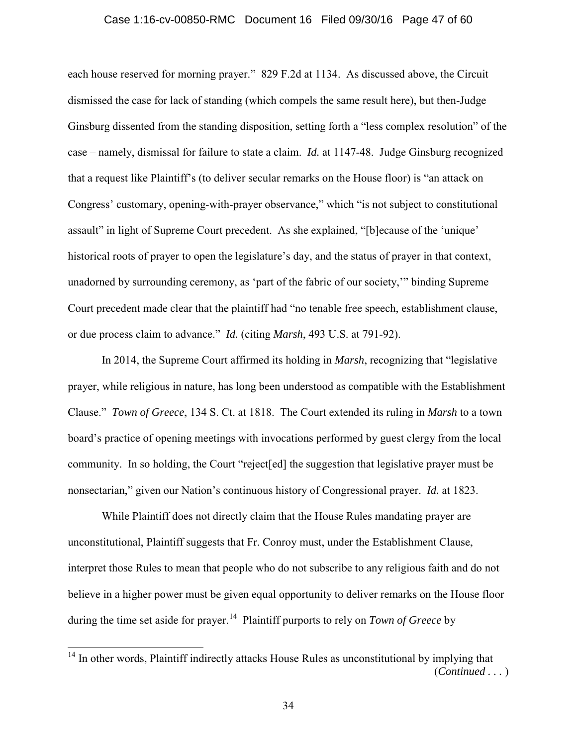#### Case 1:16-cv-00850-RMC Document 16 Filed 09/30/16 Page 47 of 60

each house reserved for morning prayer." 829 F.2d at 1134. As discussed above, the Circuit dismissed the case for lack of standing (which compels the same result here), but then-Judge Ginsburg dissented from the standing disposition, setting forth a "less complex resolution" of the case – namely, dismissal for failure to state a claim. *Id.* at 1147-48. Judge Ginsburg recognized that a request like Plaintiff's (to deliver secular remarks on the House floor) is "an attack on Congress' customary, opening-with-prayer observance," which "is not subject to constitutional assault" in light of Supreme Court precedent. As she explained, "[b]ecause of the 'unique' historical roots of prayer to open the legislature's day, and the status of prayer in that context, unadorned by surrounding ceremony, as 'part of the fabric of our society,'" binding Supreme Court precedent made clear that the plaintiff had "no tenable free speech, establishment clause, or due process claim to advance." *Id.* (citing *Marsh*, 493 U.S. at 791-92).

 In 2014, the Supreme Court affirmed its holding in *Marsh*, recognizing that "legislative prayer, while religious in nature, has long been understood as compatible with the Establishment Clause." *Town of Greece*, 134 S. Ct. at 1818. The Court extended its ruling in *Marsh* to a town board's practice of opening meetings with invocations performed by guest clergy from the local community. In so holding, the Court "reject[ed] the suggestion that legislative prayer must be nonsectarian," given our Nation's continuous history of Congressional prayer. *Id.* at 1823.

While Plaintiff does not directly claim that the House Rules mandating prayer are unconstitutional, Plaintiff suggests that Fr. Conroy must, under the Establishment Clause, interpret those Rules to mean that people who do not subscribe to any religious faith and do not believe in a higher power must be given equal opportunity to deliver remarks on the House floor during the time set aside for prayer.<sup>14</sup> Plaintiff purports to rely on *Town of Greece* by

<sup>&</sup>lt;sup>14</sup> In other words, Plaintiff indirectly attacks House Rules as unconstitutional by implying that (*Continued . . .* )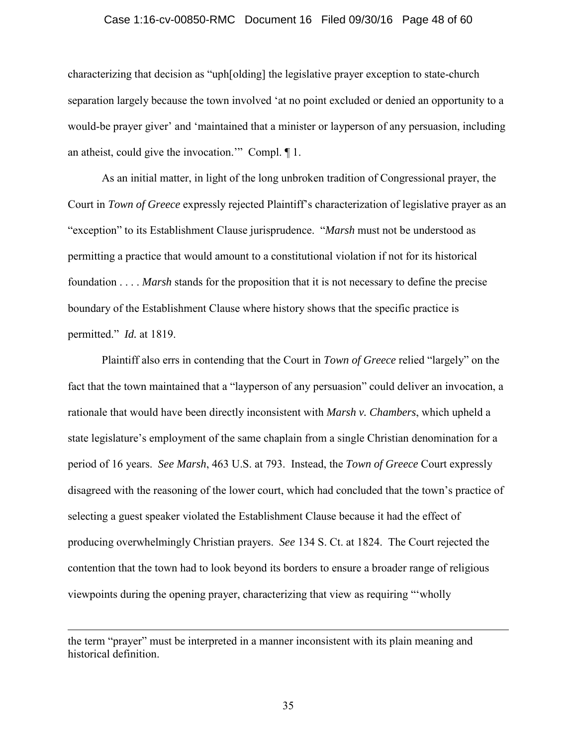#### Case 1:16-cv-00850-RMC Document 16 Filed 09/30/16 Page 48 of 60

characterizing that decision as "uph[olding] the legislative prayer exception to state-church separation largely because the town involved 'at no point excluded or denied an opportunity to a would-be prayer giver' and 'maintained that a minister or layperson of any persuasion, including an atheist, could give the invocation.'" Compl. ¶ 1.

As an initial matter, in light of the long unbroken tradition of Congressional prayer, the Court in *Town of Greece* expressly rejected Plaintiff's characterization of legislative prayer as an "exception" to its Establishment Clause jurisprudence. "*Marsh* must not be understood as permitting a practice that would amount to a constitutional violation if not for its historical foundation . . . . *Marsh* stands for the proposition that it is not necessary to define the precise boundary of the Establishment Clause where history shows that the specific practice is permitted." *Id.* at 1819.

Plaintiff also errs in contending that the Court in *Town of Greece* relied "largely" on the fact that the town maintained that a "layperson of any persuasion" could deliver an invocation, a rationale that would have been directly inconsistent with *Marsh v. Chambers*, which upheld a state legislature's employment of the same chaplain from a single Christian denomination for a period of 16 years. *See Marsh*, 463 U.S. at 793. Instead, the *Town of Greece* Court expressly disagreed with the reasoning of the lower court, which had concluded that the town's practice of selecting a guest speaker violated the Establishment Clause because it had the effect of producing overwhelmingly Christian prayers. *See* 134 S. Ct. at 1824. The Court rejected the contention that the town had to look beyond its borders to ensure a broader range of religious viewpoints during the opening prayer, characterizing that view as requiring "'wholly

the term "prayer" must be interpreted in a manner inconsistent with its plain meaning and historical definition.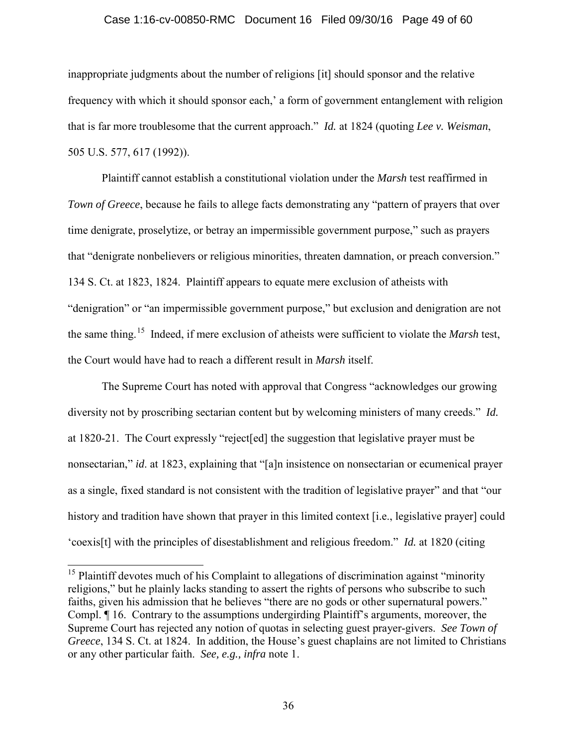#### Case 1:16-cv-00850-RMC Document 16 Filed 09/30/16 Page 49 of 60

inappropriate judgments about the number of religions [it] should sponsor and the relative frequency with which it should sponsor each,' a form of government entanglement with religion that is far more troublesome that the current approach." *Id.* at 1824 (quoting *Lee v. Weisman*, 505 U.S. 577, 617 (1992)).

Plaintiff cannot establish a constitutional violation under the *Marsh* test reaffirmed in *Town of Greece*, because he fails to allege facts demonstrating any "pattern of prayers that over time denigrate, proselytize, or betray an impermissible government purpose," such as prayers that "denigrate nonbelievers or religious minorities, threaten damnation, or preach conversion." 134 S. Ct. at 1823, 1824. Plaintiff appears to equate mere exclusion of atheists with "denigration" or "an impermissible government purpose," but exclusion and denigration are not the same thing. 15 Indeed, if mere exclusion of atheists were sufficient to violate the *Marsh* test, the Court would have had to reach a different result in *Marsh* itself.

The Supreme Court has noted with approval that Congress "acknowledges our growing diversity not by proscribing sectarian content but by welcoming ministers of many creeds." *Id.* at 1820-21. The Court expressly "reject[ed] the suggestion that legislative prayer must be nonsectarian," *id*. at 1823, explaining that "[a]n insistence on nonsectarian or ecumenical prayer as a single, fixed standard is not consistent with the tradition of legislative prayer" and that "our history and tradition have shown that prayer in this limited context [i.e., legislative prayer] could 'coexis[t] with the principles of disestablishment and religious freedom." *Id.* at 1820 (citing

 $15$  Plaintiff devotes much of his Complaint to allegations of discrimination against "minority" religions," but he plainly lacks standing to assert the rights of persons who subscribe to such faiths, given his admission that he believes "there are no gods or other supernatural powers." Compl. ¶ 16. Contrary to the assumptions undergirding Plaintiff's arguments, moreover, the Supreme Court has rejected any notion of quotas in selecting guest prayer-givers. *See Town of Greece*, 134 S. Ct. at 1824. In addition, the House's guest chaplains are not limited to Christians or any other particular faith. *See, e.g., infra* note 1.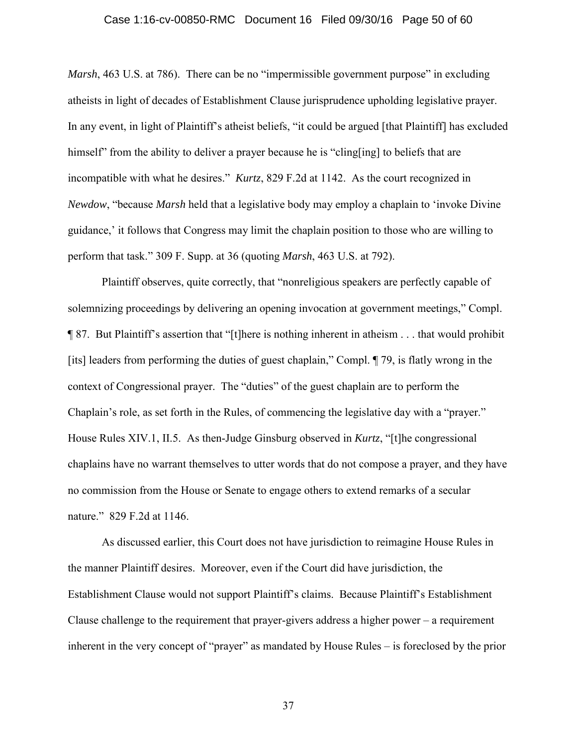#### Case 1:16-cv-00850-RMC Document 16 Filed 09/30/16 Page 50 of 60

*Marsh*, 463 U.S. at 786). There can be no "impermissible government purpose" in excluding atheists in light of decades of Establishment Clause jurisprudence upholding legislative prayer. In any event, in light of Plaintiff's atheist beliefs, "it could be argued [that Plaintiff] has excluded himself" from the ability to deliver a prayer because he is "cling[ing] to beliefs that are incompatible with what he desires." *Kurtz*, 829 F.2d at 1142. As the court recognized in *Newdow*, "because *Marsh* held that a legislative body may employ a chaplain to 'invoke Divine guidance,' it follows that Congress may limit the chaplain position to those who are willing to perform that task." 309 F. Supp. at 36 (quoting *Marsh*, 463 U.S. at 792).

Plaintiff observes, quite correctly, that "nonreligious speakers are perfectly capable of solemnizing proceedings by delivering an opening invocation at government meetings," Compl. ¶ 87. But Plaintiff's assertion that "[t]here is nothing inherent in atheism . . . that would prohibit [its] leaders from performing the duties of guest chaplain," Compl. ¶ 79, is flatly wrong in the context of Congressional prayer. The "duties" of the guest chaplain are to perform the Chaplain's role, as set forth in the Rules, of commencing the legislative day with a "prayer." House Rules XIV.1, II.5. As then-Judge Ginsburg observed in *Kurtz*, "[t]he congressional chaplains have no warrant themselves to utter words that do not compose a prayer, and they have no commission from the House or Senate to engage others to extend remarks of a secular nature." 829 F.2d at 1146.

As discussed earlier, this Court does not have jurisdiction to reimagine House Rules in the manner Plaintiff desires. Moreover, even if the Court did have jurisdiction, the Establishment Clause would not support Plaintiff's claims. Because Plaintiff's Establishment Clause challenge to the requirement that prayer-givers address a higher power – a requirement inherent in the very concept of "prayer" as mandated by House Rules – is foreclosed by the prior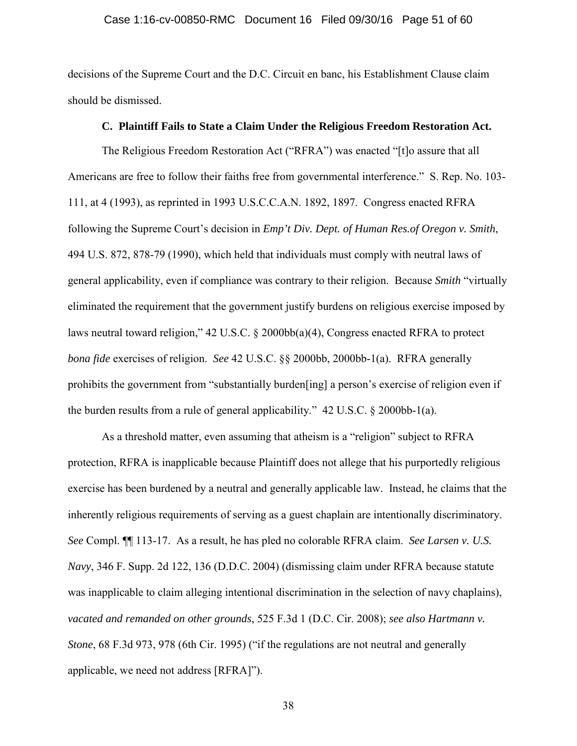#### Case 1:16-cv-00850-RMC Document 16 Filed 09/30/16 Page 51 of 60

decisions of the Supreme Court and the D.C. Circuit en banc, his Establishment Clause claim should be dismissed.

#### **C. Plaintiff Fails to State a Claim Under the Religious Freedom Restoration Act.**

The Religious Freedom Restoration Act ("RFRA") was enacted "[t]o assure that all Americans are free to follow their faiths free from governmental interference." S. Rep. No. 103- 111, at 4 (1993), as reprinted in 1993 U.S.C.C.A.N. 1892, 1897. Congress enacted RFRA following the Supreme Court's decision in *Emp't Div. Dept. of Human Res.of Oregon v. Smith*, 494 U.S. 872, 878-79 (1990), which held that individuals must comply with neutral laws of general applicability, even if compliance was contrary to their religion. Because *Smith* "virtually eliminated the requirement that the government justify burdens on religious exercise imposed by laws neutral toward religion," 42 U.S.C. § 2000bb(a)(4), Congress enacted RFRA to protect *bona fide* exercises of religion. *See* 42 U.S.C. §§ 2000bb, 2000bb-1(a). RFRA generally prohibits the government from "substantially burden[ing] a person's exercise of religion even if the burden results from a rule of general applicability." 42 U.S.C. § 2000bb-1(a).

As a threshold matter, even assuming that atheism is a "religion" subject to RFRA protection, RFRA is inapplicable because Plaintiff does not allege that his purportedly religious exercise has been burdened by a neutral and generally applicable law. Instead, he claims that the inherently religious requirements of serving as a guest chaplain are intentionally discriminatory. *See* Compl. ¶¶ 113-17. As a result, he has pled no colorable RFRA claim. *See Larsen v. U.S. Navy*, 346 F. Supp. 2d 122, 136 (D.D.C. 2004) (dismissing claim under RFRA because statute was inapplicable to claim alleging intentional discrimination in the selection of navy chaplains), *vacated and remanded on other grounds*, 525 F.3d 1 (D.C. Cir. 2008); *see also Hartmann v. Stone*, 68 F.3d 973, 978 (6th Cir. 1995) ("if the regulations are not neutral and generally applicable, we need not address [RFRA]").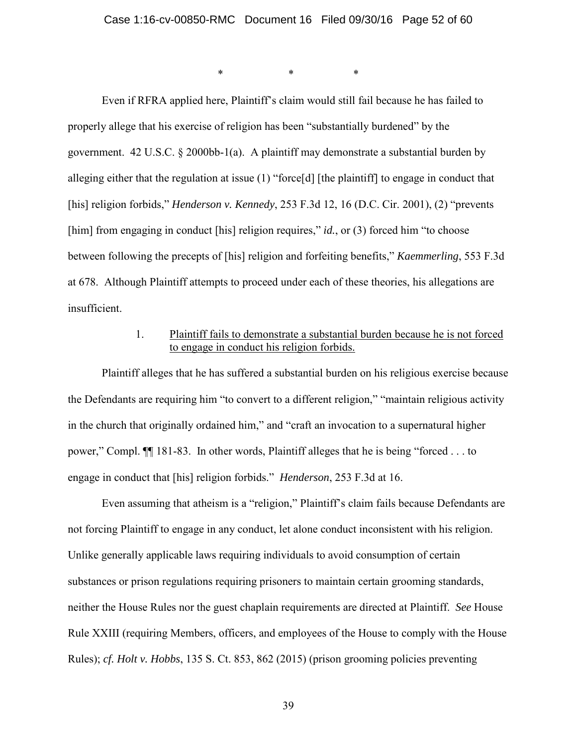\* \* \*

Even if RFRA applied here, Plaintiff's claim would still fail because he has failed to properly allege that his exercise of religion has been "substantially burdened" by the government. 42 U.S.C. § 2000bb-1(a). A plaintiff may demonstrate a substantial burden by alleging either that the regulation at issue (1) "force[d] [the plaintiff] to engage in conduct that [his] religion forbids," *Henderson v. Kennedy*, 253 F.3d 12, 16 (D.C. Cir. 2001), (2) "prevents [him] from engaging in conduct [his] religion requires," *id.*, or (3) forced him "to choose between following the precepts of [his] religion and forfeiting benefits," *Kaemmerling*, 553 F.3d at 678. Although Plaintiff attempts to proceed under each of these theories, his allegations are insufficient.

## 1. Plaintiff fails to demonstrate a substantial burden because he is not forced to engage in conduct his religion forbids.

Plaintiff alleges that he has suffered a substantial burden on his religious exercise because the Defendants are requiring him "to convert to a different religion," "maintain religious activity in the church that originally ordained him," and "craft an invocation to a supernatural higher power," Compl. ¶¶ 181-83. In other words, Plaintiff alleges that he is being "forced . . . to engage in conduct that [his] religion forbids." *Henderson*, 253 F.3d at 16.

Even assuming that atheism is a "religion," Plaintiff's claim fails because Defendants are not forcing Plaintiff to engage in any conduct, let alone conduct inconsistent with his religion. Unlike generally applicable laws requiring individuals to avoid consumption of certain substances or prison regulations requiring prisoners to maintain certain grooming standards, neither the House Rules nor the guest chaplain requirements are directed at Plaintiff. *See* House Rule XXIII (requiring Members, officers, and employees of the House to comply with the House Rules); *cf. Holt v. Hobbs*, 135 S. Ct. 853, 862 (2015) (prison grooming policies preventing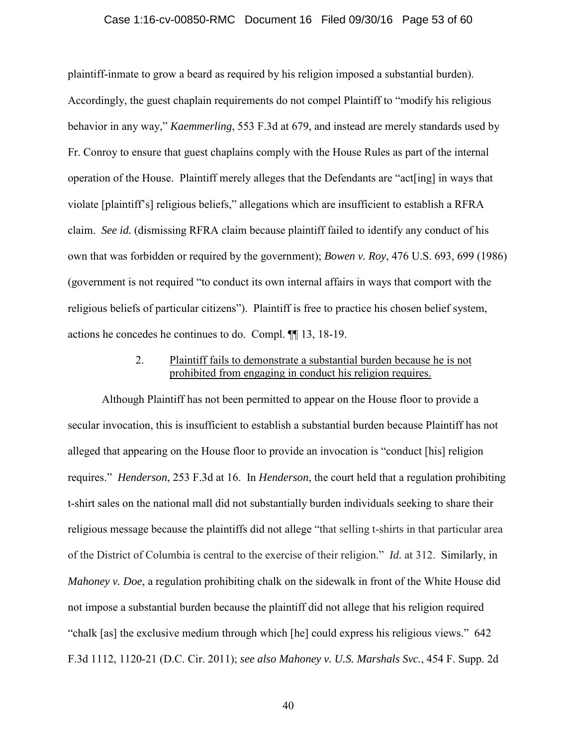#### Case 1:16-cv-00850-RMC Document 16 Filed 09/30/16 Page 53 of 60

plaintiff-inmate to grow a beard as required by his religion imposed a substantial burden). Accordingly, the guest chaplain requirements do not compel Plaintiff to "modify his religious behavior in any way," *Kaemmerling*, 553 F.3d at 679, and instead are merely standards used by Fr. Conroy to ensure that guest chaplains comply with the House Rules as part of the internal operation of the House. Plaintiff merely alleges that the Defendants are "act[ing] in ways that violate [plaintiff's] religious beliefs," allegations which are insufficient to establish a RFRA claim. *See id.* (dismissing RFRA claim because plaintiff failed to identify any conduct of his own that was forbidden or required by the government); *Bowen v. Roy*, 476 U.S. 693, 699 (1986) (government is not required "to conduct its own internal affairs in ways that comport with the religious beliefs of particular citizens"). Plaintiff is free to practice his chosen belief system, actions he concedes he continues to do. Compl. ¶¶ 13, 18-19.

## 2. Plaintiff fails to demonstrate a substantial burden because he is not prohibited from engaging in conduct his religion requires.

Although Plaintiff has not been permitted to appear on the House floor to provide a secular invocation, this is insufficient to establish a substantial burden because Plaintiff has not alleged that appearing on the House floor to provide an invocation is "conduct [his] religion requires." *Henderson*, 253 F.3d at 16. In *Henderson*, the court held that a regulation prohibiting t-shirt sales on the national mall did not substantially burden individuals seeking to share their religious message because the plaintiffs did not allege "that selling t-shirts in that particular area of the District of Columbia is central to the exercise of their religion." *Id.* at 312. Similarly, in *Mahoney v. Doe*, a regulation prohibiting chalk on the sidewalk in front of the White House did not impose a substantial burden because the plaintiff did not allege that his religion required "chalk [as] the exclusive medium through which [he] could express his religious views." 642 F.3d 1112, 1120-21 (D.C. Cir. 2011); *see also Mahoney v. U.S. Marshals Svc.*, 454 F. Supp. 2d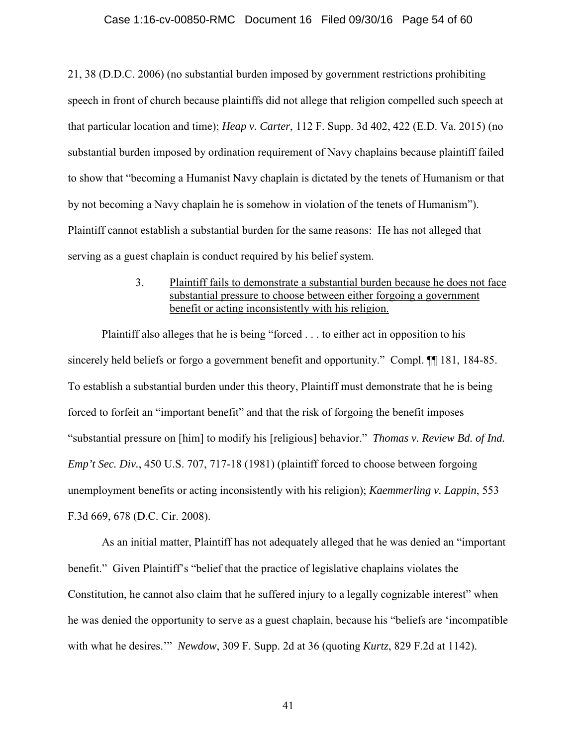#### Case 1:16-cv-00850-RMC Document 16 Filed 09/30/16 Page 54 of 60

21, 38 (D.D.C. 2006) (no substantial burden imposed by government restrictions prohibiting speech in front of church because plaintiffs did not allege that religion compelled such speech at that particular location and time); *Heap v. Carter*, 112 F. Supp. 3d 402, 422 (E.D. Va. 2015) (no substantial burden imposed by ordination requirement of Navy chaplains because plaintiff failed to show that "becoming a Humanist Navy chaplain is dictated by the tenets of Humanism or that by not becoming a Navy chaplain he is somehow in violation of the tenets of Humanism"). Plaintiff cannot establish a substantial burden for the same reasons: He has not alleged that serving as a guest chaplain is conduct required by his belief system.

## 3. Plaintiff fails to demonstrate a substantial burden because he does not face substantial pressure to choose between either forgoing a government benefit or acting inconsistently with his religion.

Plaintiff also alleges that he is being "forced . . . to either act in opposition to his sincerely held beliefs or forgo a government benefit and opportunity." Compl.  $\P$ [181, 184-85. To establish a substantial burden under this theory, Plaintiff must demonstrate that he is being forced to forfeit an "important benefit" and that the risk of forgoing the benefit imposes "substantial pressure on [him] to modify his [religious] behavior." *Thomas v. Review Bd. of Ind. Emp't Sec. Div.*, 450 U.S. 707, 717-18 (1981) (plaintiff forced to choose between forgoing unemployment benefits or acting inconsistently with his religion); *Kaemmerling v. Lappin*, 553 F.3d 669, 678 (D.C. Cir. 2008).

As an initial matter, Plaintiff has not adequately alleged that he was denied an "important benefit." Given Plaintiff's "belief that the practice of legislative chaplains violates the Constitution, he cannot also claim that he suffered injury to a legally cognizable interest" when he was denied the opportunity to serve as a guest chaplain, because his "beliefs are 'incompatible with what he desires.'" *Newdow*, 309 F. Supp. 2d at 36 (quoting *Kurtz*, 829 F.2d at 1142).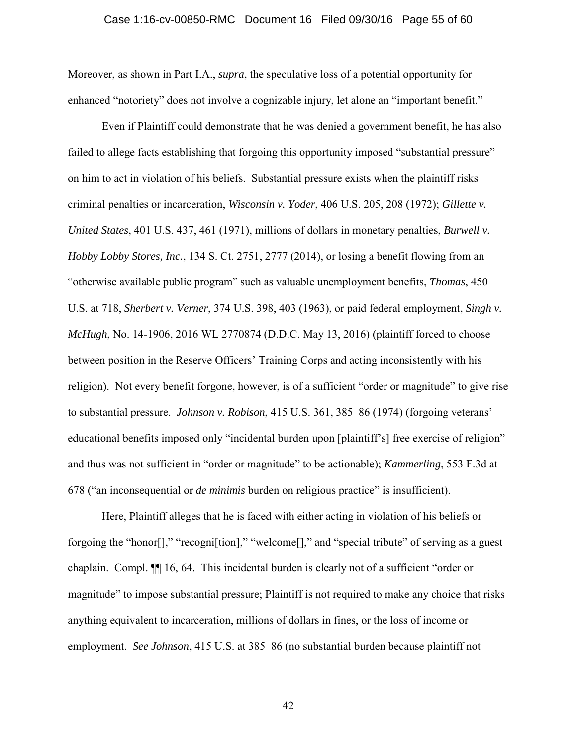#### Case 1:16-cv-00850-RMC Document 16 Filed 09/30/16 Page 55 of 60

Moreover, as shown in Part I.A., *supra*, the speculative loss of a potential opportunity for enhanced "notoriety" does not involve a cognizable injury, let alone an "important benefit."

Even if Plaintiff could demonstrate that he was denied a government benefit, he has also failed to allege facts establishing that forgoing this opportunity imposed "substantial pressure" on him to act in violation of his beliefs. Substantial pressure exists when the plaintiff risks criminal penalties or incarceration, *Wisconsin v. Yoder*, 406 U.S. 205, 208 (1972); *Gillette v. United States*, 401 U.S. 437, 461 (1971), millions of dollars in monetary penalties, *Burwell v. Hobby Lobby Stores, Inc.*, 134 S. Ct. 2751, 2777 (2014), or losing a benefit flowing from an "otherwise available public program" such as valuable unemployment benefits, *Thomas*, 450 U.S. at 718, *Sherbert v. Verner*, 374 U.S. 398, 403 (1963), or paid federal employment, *Singh v. McHugh*, No. 14-1906, 2016 WL 2770874 (D.D.C. May 13, 2016) (plaintiff forced to choose between position in the Reserve Officers' Training Corps and acting inconsistently with his religion). Not every benefit forgone, however, is of a sufficient "order or magnitude" to give rise to substantial pressure. *Johnson v. Robison*, 415 U.S. 361, 385–86 (1974) (forgoing veterans' educational benefits imposed only "incidental burden upon [plaintiff's] free exercise of religion" and thus was not sufficient in "order or magnitude" to be actionable); *Kammerling*, 553 F.3d at 678 ("an inconsequential or *de minimis* burden on religious practice" is insufficient).

Here, Plaintiff alleges that he is faced with either acting in violation of his beliefs or forgoing the "honor[]," "recogni[tion]," "welcome[]," and "special tribute" of serving as a guest chaplain. Compl. ¶¶ 16, 64. This incidental burden is clearly not of a sufficient "order or magnitude" to impose substantial pressure; Plaintiff is not required to make any choice that risks anything equivalent to incarceration, millions of dollars in fines, or the loss of income or employment. *See Johnson*, 415 U.S. at 385–86 (no substantial burden because plaintiff not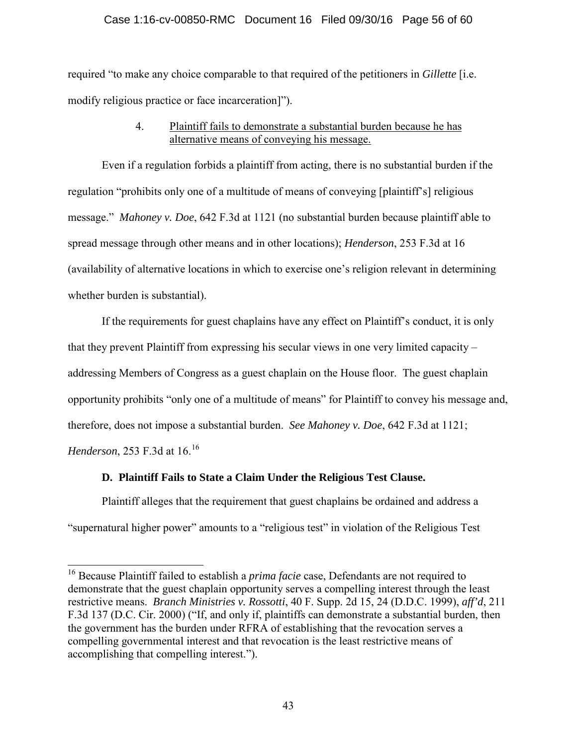## Case 1:16-cv-00850-RMC Document 16 Filed 09/30/16 Page 56 of 60

required "to make any choice comparable to that required of the petitioners in *Gillette* [i.e. modify religious practice or face incarceration]").

## 4. Plaintiff fails to demonstrate a substantial burden because he has alternative means of conveying his message.

Even if a regulation forbids a plaintiff from acting, there is no substantial burden if the regulation "prohibits only one of a multitude of means of conveying [plaintiff's] religious message." *Mahoney v. Doe*, 642 F.3d at 1121 (no substantial burden because plaintiff able to spread message through other means and in other locations); *Henderson*, 253 F.3d at 16 (availability of alternative locations in which to exercise one's religion relevant in determining whether burden is substantial).

If the requirements for guest chaplains have any effect on Plaintiff's conduct, it is only that they prevent Plaintiff from expressing his secular views in one very limited capacity – addressing Members of Congress as a guest chaplain on the House floor. The guest chaplain opportunity prohibits "only one of a multitude of means" for Plaintiff to convey his message and, therefore, does not impose a substantial burden. *See Mahoney v. Doe*, 642 F.3d at 1121;

*Henderson*, 253 F.3d at 16.<sup>16</sup>

## **D. Plaintiff Fails to State a Claim Under the Religious Test Clause.**

Plaintiff alleges that the requirement that guest chaplains be ordained and address a "supernatural higher power" amounts to a "religious test" in violation of the Religious Test

 $\overline{a}$ <sup>16</sup> Because Plaintiff failed to establish a *prima facie* case, Defendants are not required to demonstrate that the guest chaplain opportunity serves a compelling interest through the least restrictive means. *Branch Ministries v. Rossotti*, 40 F. Supp. 2d 15, 24 (D.D.C. 1999), *aff'd*, 211 F.3d 137 (D.C. Cir. 2000) ("If, and only if, plaintiffs can demonstrate a substantial burden, then the government has the burden under RFRA of establishing that the revocation serves a compelling governmental interest and that revocation is the least restrictive means of accomplishing that compelling interest.").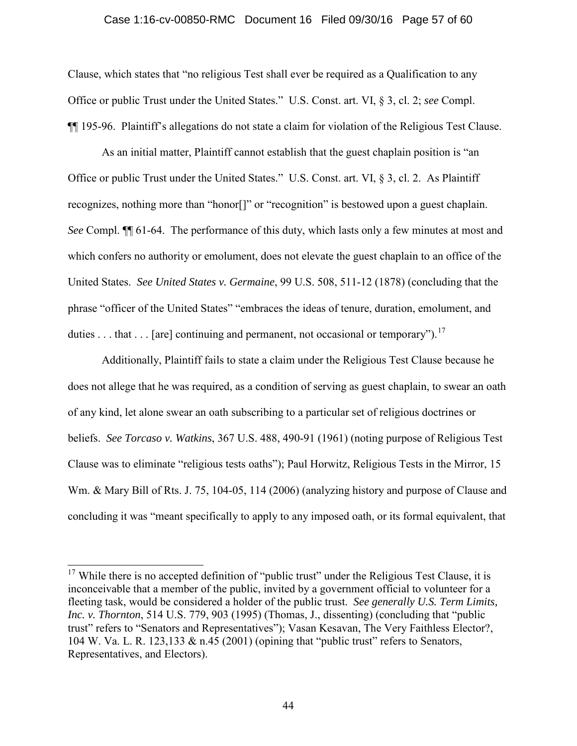#### Case 1:16-cv-00850-RMC Document 16 Filed 09/30/16 Page 57 of 60

Clause, which states that "no religious Test shall ever be required as a Qualification to any Office or public Trust under the United States." U.S. Const. art. VI, § 3, cl. 2; *see* Compl. ¶¶ 195-96. Plaintiff's allegations do not state a claim for violation of the Religious Test Clause.

As an initial matter, Plaintiff cannot establish that the guest chaplain position is "an Office or public Trust under the United States." U.S. Const. art. VI, § 3, cl. 2. As Plaintiff recognizes, nothing more than "honor[]" or "recognition" is bestowed upon a guest chaplain. *See* Compl. ¶¶ 61-64. The performance of this duty, which lasts only a few minutes at most and which confers no authority or emolument, does not elevate the guest chaplain to an office of the United States. *See United States v. Germaine*, 99 U.S. 508, 511-12 (1878) (concluding that the phrase "officer of the United States" "embraces the ideas of tenure, duration, emolument, and duties . . . that . . . [are] continuing and permanent, not occasional or temporary").<sup>17</sup>

Additionally, Plaintiff fails to state a claim under the Religious Test Clause because he does not allege that he was required, as a condition of serving as guest chaplain, to swear an oath of any kind, let alone swear an oath subscribing to a particular set of religious doctrines or beliefs. *See Torcaso v. Watkins*, 367 U.S. 488, 490-91 (1961) (noting purpose of Religious Test Clause was to eliminate "religious tests oaths"); Paul Horwitz, Religious Tests in the Mirror, 15 Wm. & Mary Bill of Rts. J. 75, 104-05, 114 (2006) (analyzing history and purpose of Clause and concluding it was "meant specifically to apply to any imposed oath, or its formal equivalent, that

<sup>&</sup>lt;sup>17</sup> While there is no accepted definition of "public trust" under the Religious Test Clause, it is inconceivable that a member of the public, invited by a government official to volunteer for a fleeting task, would be considered a holder of the public trust. *See generally U.S. Term Limits, Inc. v. Thornton*, 514 U.S. 779, 903 (1995) (Thomas, J., dissenting) (concluding that "public trust" refers to "Senators and Representatives"); Vasan Kesavan, The Very Faithless Elector?, 104 W. Va. L. R. 123,133 & n.45 (2001) (opining that "public trust" refers to Senators, Representatives, and Electors).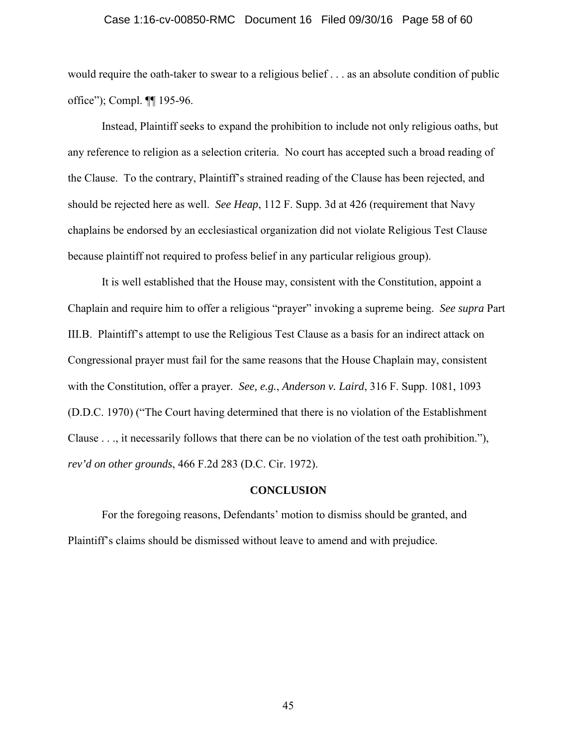#### Case 1:16-cv-00850-RMC Document 16 Filed 09/30/16 Page 58 of 60

would require the oath-taker to swear to a religious belief . . . as an absolute condition of public office"); Compl. ¶¶ 195-96.

Instead, Plaintiff seeks to expand the prohibition to include not only religious oaths, but any reference to religion as a selection criteria. No court has accepted such a broad reading of the Clause. To the contrary, Plaintiff's strained reading of the Clause has been rejected, and should be rejected here as well. *See Heap*, 112 F. Supp. 3d at 426 (requirement that Navy chaplains be endorsed by an ecclesiastical organization did not violate Religious Test Clause because plaintiff not required to profess belief in any particular religious group).

It is well established that the House may, consistent with the Constitution, appoint a Chaplain and require him to offer a religious "prayer" invoking a supreme being. *See supra* Part III.B. Plaintiff's attempt to use the Religious Test Clause as a basis for an indirect attack on Congressional prayer must fail for the same reasons that the House Chaplain may, consistent with the Constitution, offer a prayer. *See, e.g.*, *Anderson v. Laird*, 316 F. Supp. 1081, 1093 (D.D.C. 1970) ("The Court having determined that there is no violation of the Establishment Clause . . ., it necessarily follows that there can be no violation of the test oath prohibition."), *rev'd on other grounds*, 466 F.2d 283 (D.C. Cir. 1972).

#### **CONCLUSION**

For the foregoing reasons, Defendants' motion to dismiss should be granted, and Plaintiff's claims should be dismissed without leave to amend and with prejudice.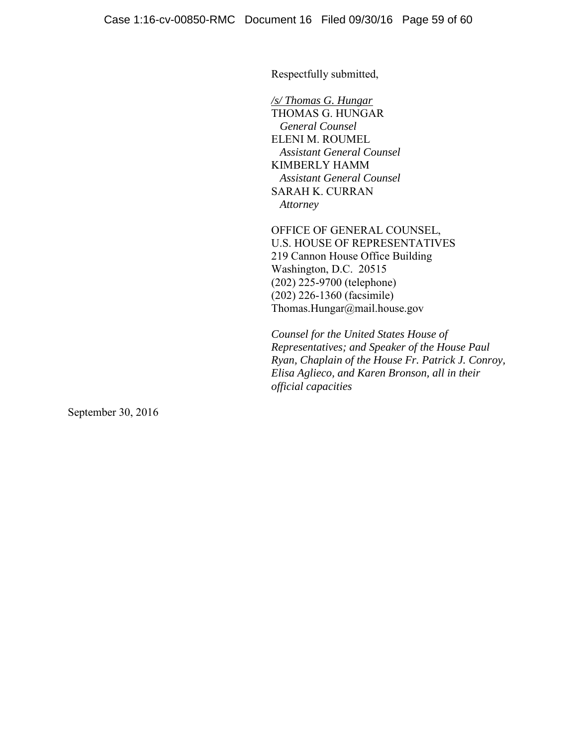Respectfully submitted,

*/s/ Thomas G. Hungar* THOMAS G. HUNGAR  *General Counsel*  ELENI M. ROUMEL  *Assistant General Counsel*  KIMBERLY HAMM  *Assistant General Counsel*  SARAH K. CURRAN  *Attorney* 

OFFICE OF GENERAL COUNSEL, U.S. HOUSE OF REPRESENTATIVES 219 Cannon House Office Building Washington, D.C. 20515 (202) 225-9700 (telephone) (202) 226-1360 (facsimile) Thomas.Hungar@mail.house.gov

*Counsel for the United States House of Representatives; and Speaker of the House Paul Ryan, Chaplain of the House Fr. Patrick J. Conroy, Elisa Aglieco, and Karen Bronson, all in their official capacities*

September 30, 2016